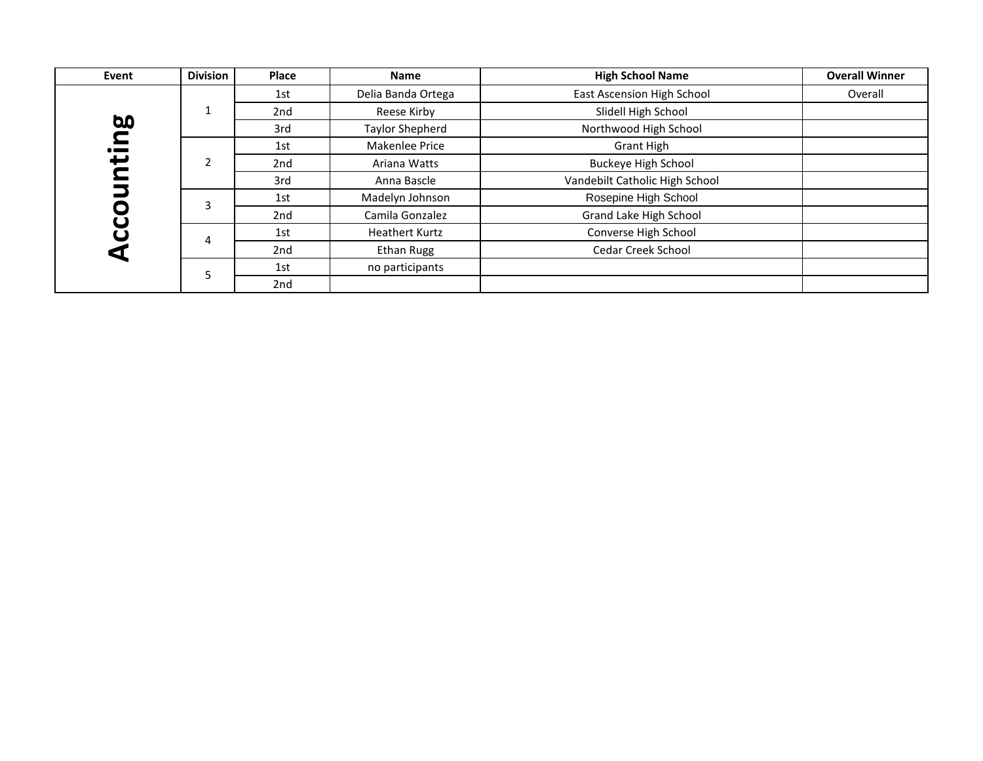| Event     | <b>Division</b> | Place | <b>Name</b>            | <b>High School Name</b>        | <b>Overall Winner</b> |
|-----------|-----------------|-------|------------------------|--------------------------------|-----------------------|
|           |                 | 1st   | Delia Banda Ortega     | East Ascension High School     | Overall               |
|           |                 | 2nd   | Reese Kirby            | Slidell High School            |                       |
| <b>bo</b> |                 | 3rd   | <b>Taylor Shepherd</b> | Northwood High School          |                       |
| 그.        |                 | 1st   | Makenlee Price         | <b>Grant High</b>              |                       |
| پ         | $\mathfrak{p}$  | 2nd   | Ariana Watts           | <b>Buckeye High School</b>     |                       |
|           |                 | 3rd   | Anna Bascle            | Vandebilt Catholic High School |                       |
|           |                 | 1st   | Madelyn Johnson        | Rosepine High School           |                       |
|           |                 | 2nd   | Camila Gonzalez        | Grand Lake High School         |                       |
|           | 4               | 1st   | <b>Heathert Kurtz</b>  | Converse High School           |                       |
|           |                 | 2nd   | <b>Ethan Rugg</b>      | Cedar Creek School             |                       |
|           |                 | 1st   | no participants        |                                |                       |
|           |                 | 2nd   |                        |                                |                       |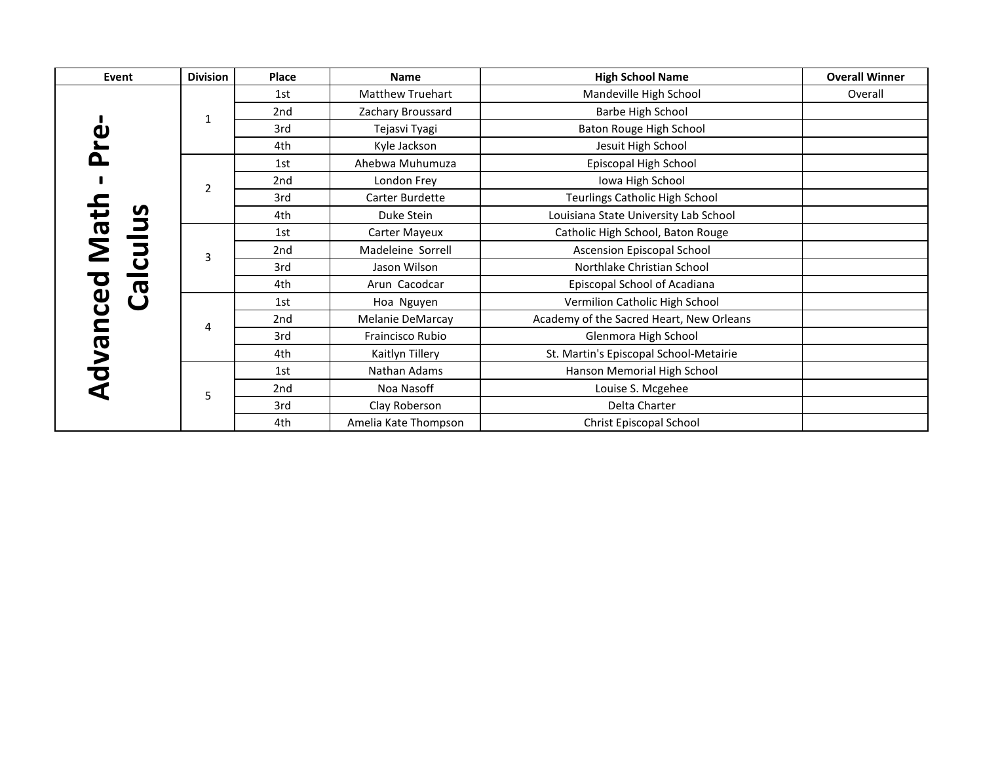| Event                            | <b>Division</b> | Place           | <b>Name</b>             | <b>High School Name</b>                  | <b>Overall Winner</b> |
|----------------------------------|-----------------|-----------------|-------------------------|------------------------------------------|-----------------------|
|                                  |                 | 1st             | <b>Matthew Truehart</b> | Mandeville High School                   | Overall               |
|                                  | 1               | 2 <sub>nd</sub> | Zachary Broussard       | Barbe High School                        |                       |
| ω                                |                 | 3rd             | Tejasvi Tyagi           | Baton Rouge High School                  |                       |
|                                  |                 | 4th             | Kyle Jackson            | Jesuit High School                       |                       |
|                                  |                 | 1st             | Ahebwa Muhumuza         | Episcopal High School                    |                       |
|                                  | $\overline{2}$  | 2nd             | London Frey             | Iowa High School                         |                       |
|                                  |                 | 3rd             | Carter Burdette         | Teurlings Catholic High School           |                       |
| Math<br><u>U</u>                 |                 | 4th             | Duke Stein              | Louisiana State University Lab School    |                       |
|                                  | 3               | 1st             | Carter Mayeux           | Catholic High School, Baton Rouge        |                       |
| $\overline{\mathbf{5}}$          |                 | 2 <sub>nd</sub> | Madeleine Sorrell       | Ascension Episcopal School               |                       |
|                                  |                 | 3rd             | Jason Wilson            | Northlake Christian School               |                       |
| $\overline{\boldsymbol{\sigma}}$ |                 | 4th             | Arun Cacodcar           | Episcopal School of Acadiana             |                       |
| ပ္ပ                              |                 | 1st             | Hoa Nguyen              | Vermilion Catholic High School           |                       |
|                                  | 4               | 2nd             | Melanie DeMarcay        | Academy of the Sacred Heart, New Orleans |                       |
|                                  |                 | 3rd             | Fraincisco Rubio        | Glenmora High School                     |                       |
| <b>RV</b><br>$\bullet$           |                 | 4th             | Kaitlyn Tillery         | St. Martin's Episcopal School-Metairie   |                       |
|                                  |                 | 1st             | Nathan Adams            | Hanson Memorial High School              |                       |
|                                  | 5               | 2nd             | Noa Nasoff              | Louise S. Mcgehee                        |                       |
|                                  |                 | 3rd             | Clay Roberson           | Delta Charter                            |                       |
|                                  |                 | 4th             | Amelia Kate Thompson    | Christ Episcopal School                  |                       |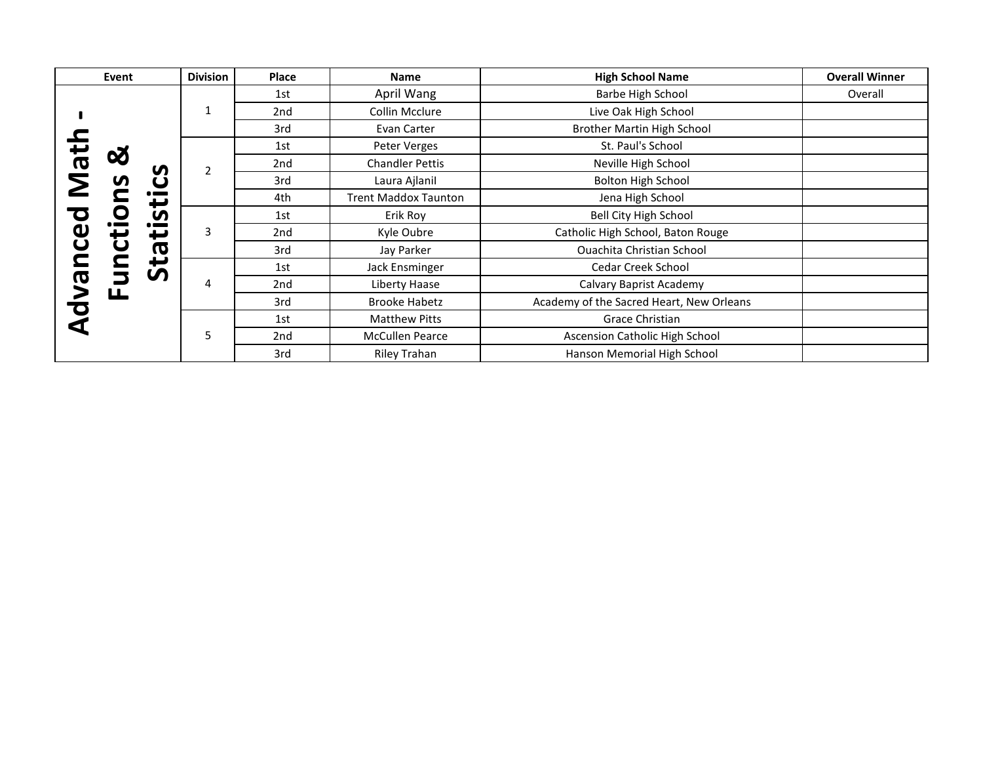|                         | Event                              | <b>Division</b> | Place           | <b>Name</b>                 | <b>High School Name</b>                  | <b>Overall Winner</b> |
|-------------------------|------------------------------------|-----------------|-----------------|-----------------------------|------------------------------------------|-----------------------|
|                         |                                    |                 | 1st             | April Wang                  | Barbe High School                        | Overall               |
|                         |                                    | $\mathbf{1}$    | 2 <sub>nd</sub> | Collin Mcclure              | Live Oak High School                     |                       |
|                         |                                    |                 | 3rd             | Evan Carter                 | <b>Brother Martin High School</b>        |                       |
|                         |                                    |                 | 1st             | Peter Verges                | St. Paul's School                        |                       |
| $\overline{\mathbf{a}}$ | 62<br>S                            |                 | 2nd             | <b>Chandler Pettis</b>      | Neville High School                      |                       |
|                         | S                                  |                 | 3rd             | Laura Ajlanil               | <b>Bolton High School</b>                |                       |
|                         | $\bullet$ and $\bullet$<br>ى       |                 | 4th             | <b>Trent Maddox Taunton</b> | Jena High School                         |                       |
|                         | <u>in</u>                          | 3               | 1st             | Erik Roy                    | <b>Bell City High School</b>             |                       |
| Φ                       | $\bullet$ and $\bullet$<br>ťŪ<br>t |                 | 2nd             | Kyle Oubre                  | Catholic High School, Baton Rouge        |                       |
| $\overline{\mathbf{C}}$ | $\boldsymbol{\sigma}$              |                 | 3rd             | Jay Parker                  | Ouachita Christian School                |                       |
|                         | ₩<br><b>S</b>                      |                 | 1st             | Jack Ensminger              | Cedar Creek School                       |                       |
| O                       | ட                                  | 4               | 2nd             | Liberty Haase               | Calvary Baprist Academy                  |                       |
| $\mathbf C$             |                                    |                 | 3rd             | <b>Brooke Habetz</b>        | Academy of the Sacred Heart, New Orleans |                       |
|                         |                                    |                 | 1st             | <b>Matthew Pitts</b>        | Grace Christian                          |                       |
|                         |                                    | 5               | 2nd             | <b>McCullen Pearce</b>      | Ascension Catholic High School           |                       |
|                         |                                    |                 | 3rd             | <b>Riley Trahan</b>         | Hanson Memorial High School              |                       |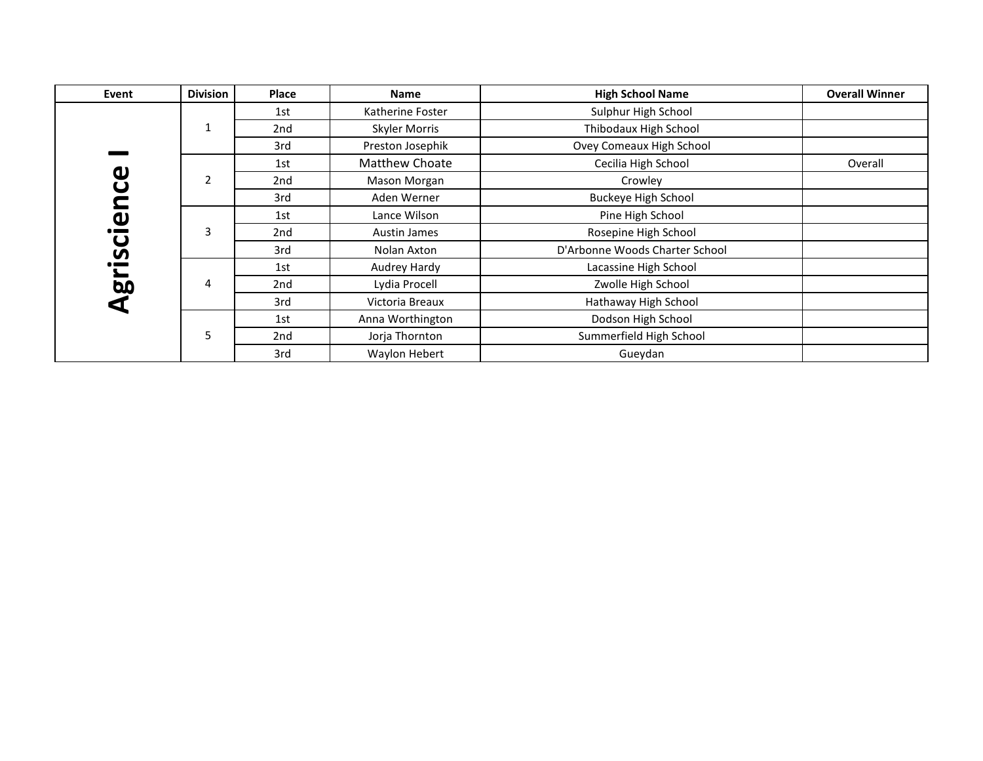| Event                                      | <b>Division</b> | <b>Place</b> | <b>Name</b>      | <b>High School Name</b>        | <b>Overall Winner</b> |
|--------------------------------------------|-----------------|--------------|------------------|--------------------------------|-----------------------|
|                                            |                 | 1st          | Katherine Foster | Sulphur High School            |                       |
|                                            |                 | 2nd          | Skyler Morris    | Thibodaux High School          |                       |
|                                            |                 | 3rd          | Preston Josephik | Ovey Comeaux High School       |                       |
|                                            |                 | 1st          | Matthew Choate   | Cecilia High School            | Overall               |
| ပ<br>ပ                                     | $\overline{2}$  | 2nd          | Mason Morgan     | Crowley                        |                       |
| Ĕ                                          |                 | 3rd          | Aden Werner      | <b>Buckeye High School</b>     |                       |
| $\boldsymbol{\omega}$                      |                 | 1st          | Lance Wilson     | Pine High School               |                       |
| $\bullet$ and $\bullet$<br>$\mathbf\omega$ | 3               | 2nd          | Austin James     | Rosepine High School           |                       |
| S                                          |                 | 3rd          | Nolan Axton      | D'Arbonne Woods Charter School |                       |
| ┶                                          |                 | 1st          | Audrey Hardy     | Lacassine High School          |                       |
| 5                                          | 4               | 2nd          | Lydia Procell    | Zwolle High School             |                       |
|                                            |                 | 3rd          | Victoria Breaux  | Hathaway High School           |                       |
|                                            |                 | 1st          | Anna Worthington | Dodson High School             |                       |
|                                            | 5               | 2nd          | Jorja Thornton   | Summerfield High School        |                       |
|                                            |                 | 3rd          | Waylon Hebert    | Gueydan                        |                       |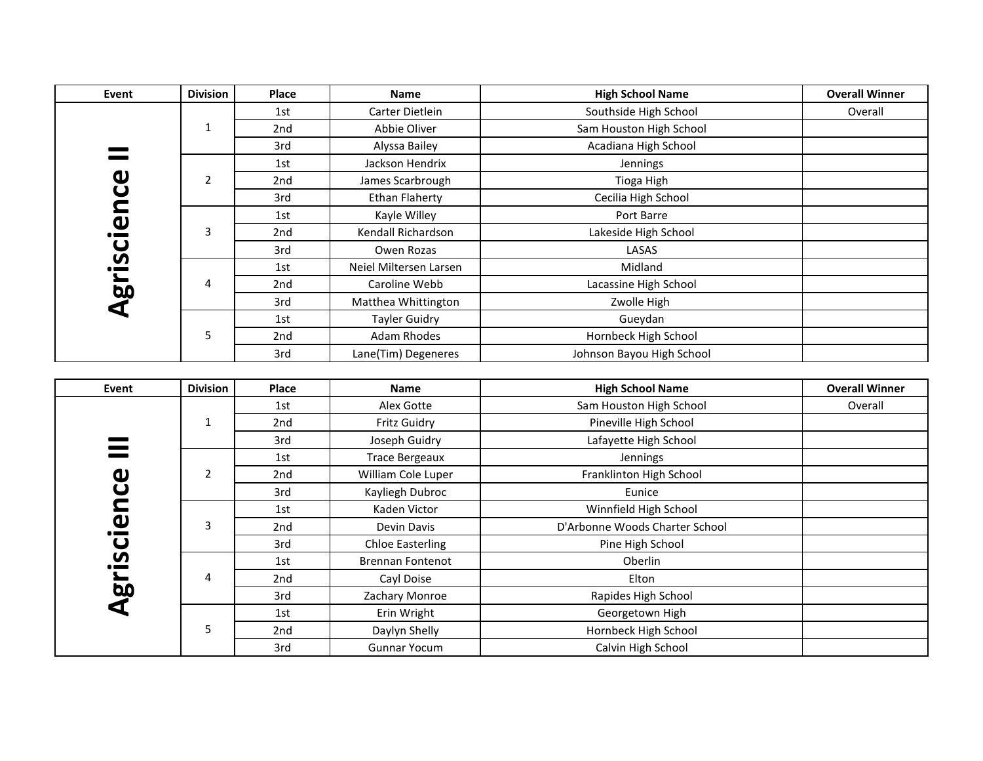| Event                                            | <b>Division</b> | <b>Place</b> | <b>Name</b>            | <b>High School Name</b>   | <b>Overall Winner</b> |
|--------------------------------------------------|-----------------|--------------|------------------------|---------------------------|-----------------------|
|                                                  |                 | 1st          | Carter Dietlein        | Southside High School     | Overall               |
|                                                  | $\mathbf{1}$    | 2nd          | Abbie Oliver           | Sam Houston High School   |                       |
|                                                  |                 | 3rd          | Alyssa Bailey          | Acadiana High School      |                       |
|                                                  |                 | 1st          | Jackson Hendrix        | Jennings                  |                       |
| $\boldsymbol{\mathsf{u}}$                        | $\overline{2}$  | 2nd          | James Scarbrough       | Tioga High                |                       |
| ں<br>2                                           |                 | 3rd          | <b>Ethan Flaherty</b>  | Cecilia High School       |                       |
|                                                  |                 | 1st          | Kayle Willey           | Port Barre                |                       |
| $\boldsymbol{\omega}$<br>$\bullet$ and $\bullet$ | 3               | 2nd          | Kendall Richardson     | Lakeside High School      |                       |
| $\mathbf\omega$                                  |                 | 3rd          | Owen Rozas             | LASAS                     |                       |
| S                                                |                 | 1st          | Neiel Miltersen Larsen | Midland                   |                       |
| $\overline{5}$                                   | 4               | 2nd          | Caroline Webb          | Lacassine High School     |                       |
|                                                  |                 | 3rd          | Matthea Whittington    | Zwolle High               |                       |
|                                                  |                 | 1st          | <b>Tayler Guidry</b>   | Gueydan                   |                       |
|                                                  | 5               | 2nd          | Adam Rhodes            | Hornbeck High School      |                       |
|                                                  |                 | 3rd          | Lane(Tim) Degeneres    | Johnson Bayou High School |                       |

| Event                 | <b>Division</b> | Place | Name                    | <b>High School Name</b>        | <b>Overall Winner</b> |
|-----------------------|-----------------|-------|-------------------------|--------------------------------|-----------------------|
|                       |                 | 1st   | Alex Gotte              | Sam Houston High School        | Overall               |
|                       | 1               | 2nd   | Fritz Guidry            | Pineville High School          |                       |
|                       |                 | 3rd   | Joseph Guidry           | Lafayette High School          |                       |
|                       |                 | 1st   | <b>Trace Bergeaux</b>   | Jennings                       |                       |
| $\boldsymbol{\omega}$ | 2               | 2nd   | William Cole Luper      | Franklinton High School        |                       |
| $\mathbf\omega$       |                 | 3rd   | Kayliegh Dubroc         | Eunice                         |                       |
| C                     |                 | 1st   | Kaden Victor            | Winnfield High School          |                       |
| $\boldsymbol{\omega}$ | 3               | 2nd   | Devin Davis             | D'Arbonne Woods Charter School |                       |
| $\mathbf \omega$      |                 | 3rd   | <b>Chloe Easterling</b> | Pine High School               |                       |
| S                     |                 | 1st   | <b>Brennan Fontenot</b> | Oberlin                        |                       |
|                       | 4               | 2nd   | Cayl Doise              | Elton                          |                       |
| 5<br>₫                |                 | 3rd   | Zachary Monroe          | Rapides High School            |                       |
|                       |                 | 1st   | Erin Wright             | Georgetown High                |                       |
|                       | 5               | 2nd   | Daylyn Shelly           | Hornbeck High School           |                       |
|                       |                 | 3rd   | <b>Gunnar Yocum</b>     | Calvin High School             |                       |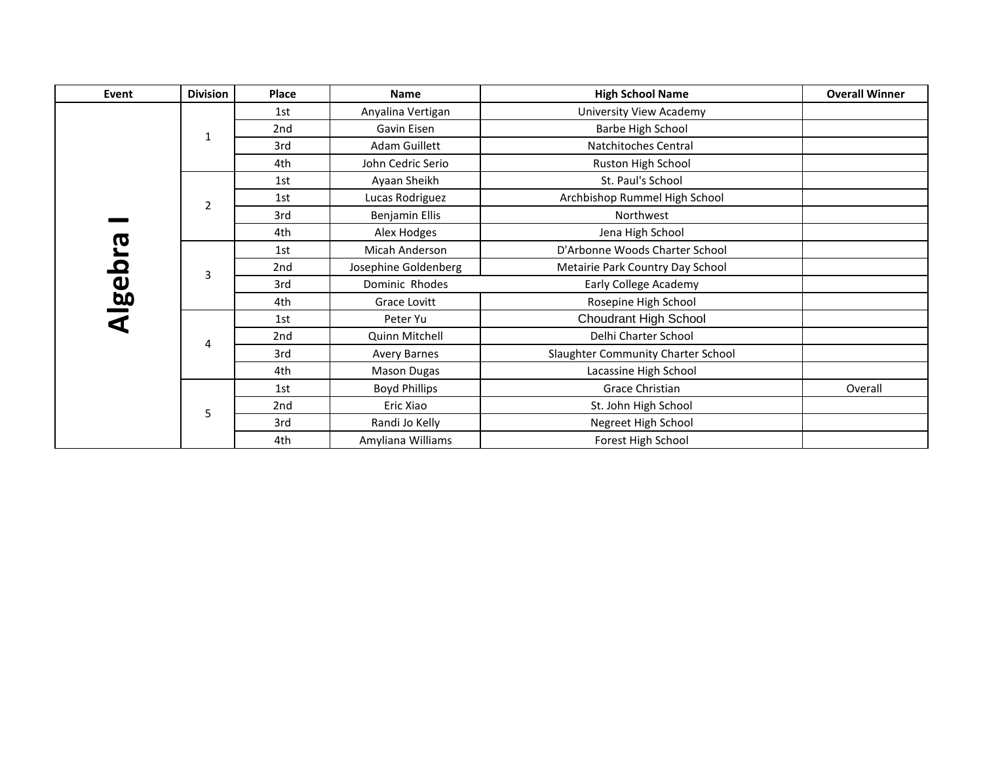| Event                   | <b>Division</b> | Place | <b>Name</b>           | <b>High School Name</b>            | <b>Overall Winner</b> |
|-------------------------|-----------------|-------|-----------------------|------------------------------------|-----------------------|
|                         |                 | 1st   | Anyalina Vertigan     | University View Academy            |                       |
|                         | $\mathbf{1}$    | 2nd   | Gavin Eisen           | Barbe High School                  |                       |
|                         |                 | 3rd   | Adam Guillett         | Natchitoches Central               |                       |
|                         |                 | 4th   | John Cedric Serio     | Ruston High School                 |                       |
|                         |                 | 1st   | Ayaan Sheikh          | St. Paul's School                  |                       |
|                         | $\overline{2}$  | 1st   | Lucas Rodriguez       | Archbishop Rummel High School      |                       |
|                         |                 | 3rd   | <b>Benjamin Ellis</b> | Northwest                          |                       |
|                         |                 | 4th   | Alex Hodges           | Jena High School                   |                       |
| თ<br>ე                  |                 | 1st   | Micah Anderson        | D'Arbonne Woods Charter School     |                       |
| $\overline{\mathbf{C}}$ | 3               | 2nd   | Josephine Goldenberg  | Metairie Park Country Day School   |                       |
| <u>lag</u>              |                 | 3rd   | Dominic Rhodes        | Early College Academy              |                       |
|                         |                 | 4th   | Grace Lovitt          | Rosepine High School               |                       |
|                         |                 | 1st   | Peter Yu              | Choudrant High School              |                       |
|                         | 4               | 2nd   | Quinn Mitchell        | Delhi Charter School               |                       |
|                         |                 | 3rd   | Avery Barnes          | Slaughter Community Charter School |                       |
|                         |                 | 4th   | <b>Mason Dugas</b>    | Lacassine High School              |                       |
|                         |                 | 1st   | <b>Boyd Phillips</b>  | Grace Christian                    | Overall               |
|                         | 5               | 2nd   | Eric Xiao             | St. John High School               |                       |
|                         |                 | 3rd   | Randi Jo Kelly        | Negreet High School                |                       |
|                         |                 | 4th   | Amyliana Williams     | Forest High School                 |                       |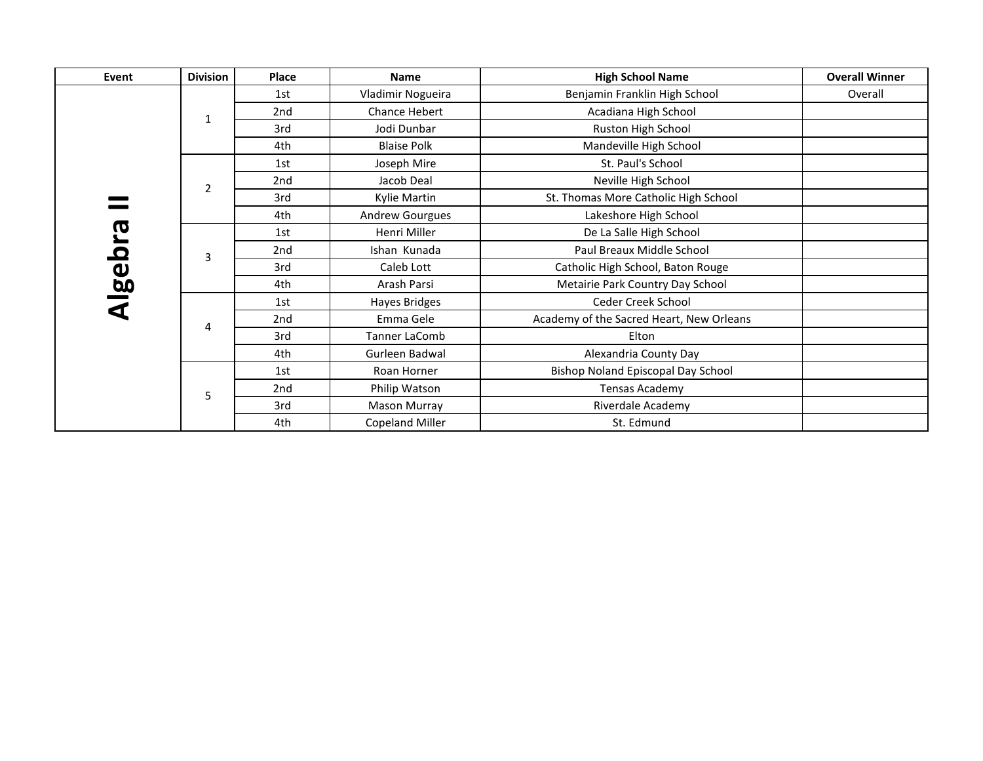| Event         | <b>Division</b> | Place           | <b>Name</b>            | <b>High School Name</b>                  | <b>Overall Winner</b> |
|---------------|-----------------|-----------------|------------------------|------------------------------------------|-----------------------|
|               |                 | 1st             | Vladimir Nogueira      | Benjamin Franklin High School            | Overall               |
|               | 1               | 2nd             | Chance Hebert          | Acadiana High School                     |                       |
|               |                 | 3rd             | Jodi Dunbar            | Ruston High School                       |                       |
|               |                 | 4th             | <b>Blaise Polk</b>     | Mandeville High School                   |                       |
|               |                 | 1st             | Joseph Mire            | St. Paul's School                        |                       |
|               | $\overline{2}$  | 2nd             | Jacob Deal             | Neville High School                      |                       |
|               |                 | 3rd             | Kylie Martin           | St. Thomas More Catholic High School     |                       |
|               |                 | 4th             | <b>Andrew Gourgues</b> | Lakeshore High School                    |                       |
| <u>ლ</u>      |                 | 1st             | Henri Miller           | De La Salle High School                  |                       |
| <b>Algebr</b> | 3               | 2 <sub>nd</sub> | Ishan Kunada           | Paul Breaux Middle School                |                       |
|               |                 | 3rd             | Caleb Lott             | Catholic High School, Baton Rouge        |                       |
|               |                 | 4th             | Arash Parsi            | Metairie Park Country Day School         |                       |
|               |                 | 1st             | Hayes Bridges          | Ceder Creek School                       |                       |
|               | 4               | 2nd             | Emma Gele              | Academy of the Sacred Heart, New Orleans |                       |
|               |                 | 3rd             | Tanner LaComb          | Elton                                    |                       |
|               |                 | 4th             | Gurleen Badwal         | Alexandria County Day                    |                       |
|               |                 | 1st             | Roan Horner            | Bishop Noland Episcopal Day School       |                       |
|               | 5               | 2nd             | Philip Watson          | Tensas Academy                           |                       |
|               |                 | 3rd             | Mason Murray           | Riverdale Academy                        |                       |
|               |                 | 4th             | Copeland Miller        | St. Edmund                               |                       |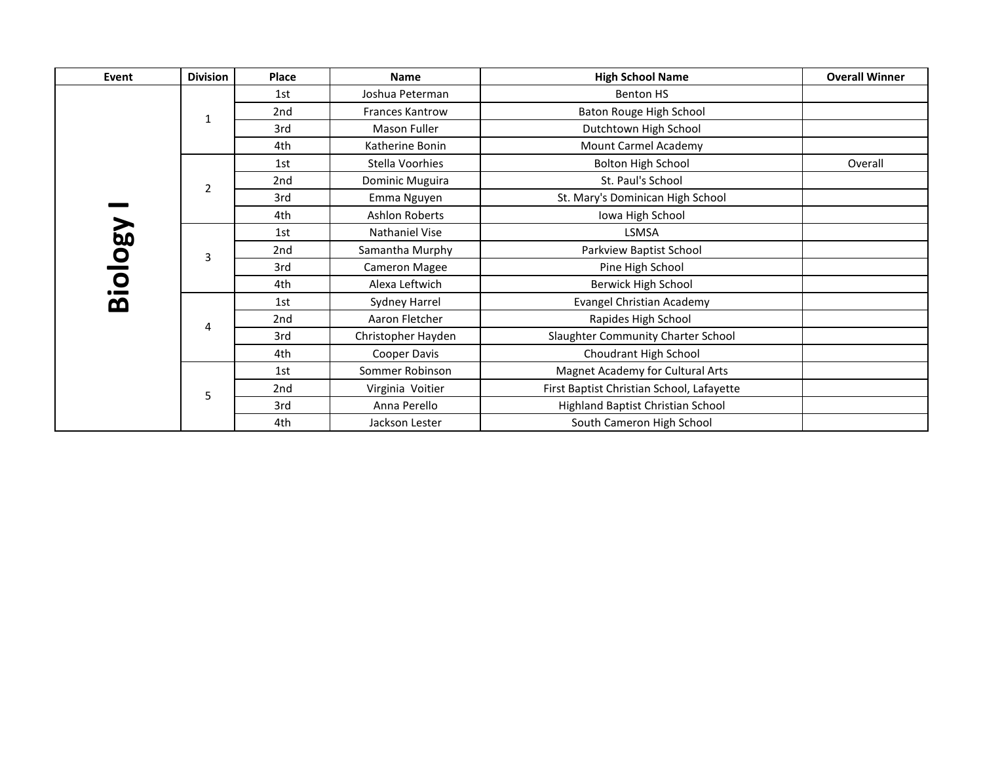| Event   | <b>Division</b> | <b>Place</b> | <b>Name</b>            | <b>High School Name</b>                   | <b>Overall Winner</b> |
|---------|-----------------|--------------|------------------------|-------------------------------------------|-----------------------|
|         |                 | 1st          | Joshua Peterman        | Benton HS                                 |                       |
|         | $\mathbf{1}$    | 2nd          | <b>Frances Kantrow</b> | Baton Rouge High School                   |                       |
|         |                 | 3rd          | Mason Fuller           | Dutchtown High School                     |                       |
|         |                 | 4th          | Katherine Bonin        | Mount Carmel Academy                      |                       |
|         |                 | 1st          | Stella Voorhies        | <b>Bolton High School</b>                 | Overall               |
|         | $\overline{2}$  | 2nd          | Dominic Muguira        | St. Paul's School                         |                       |
|         |                 | 3rd          | Emma Nguyen            | St. Mary's Dominican High School          |                       |
|         |                 | 4th          | <b>Ashlon Roberts</b>  | Iowa High School                          |                       |
| Biology |                 | 1st          | Nathaniel Vise         | LSMSA                                     |                       |
|         | 3               | 2nd          | Samantha Murphy        | Parkview Baptist School                   |                       |
|         |                 | 3rd          | <b>Cameron Magee</b>   | Pine High School                          |                       |
|         |                 | 4th          | Alexa Leftwich         | Berwick High School                       |                       |
|         |                 | 1st          | Sydney Harrel          | <b>Evangel Christian Academy</b>          |                       |
|         | 4               | 2nd          | Aaron Fletcher         | Rapides High School                       |                       |
|         |                 | 3rd          | Christopher Hayden     | Slaughter Community Charter School        |                       |
|         |                 | 4th          | Cooper Davis           | Choudrant High School                     |                       |
|         |                 | 1st          | Sommer Robinson        | Magnet Academy for Cultural Arts          |                       |
|         | 5               | 2nd          | Virginia Voitier       | First Baptist Christian School, Lafayette |                       |
|         |                 | 3rd          | Anna Perello           | Highland Baptist Christian School         |                       |
|         |                 | 4th          | Jackson Lester         | South Cameron High School                 |                       |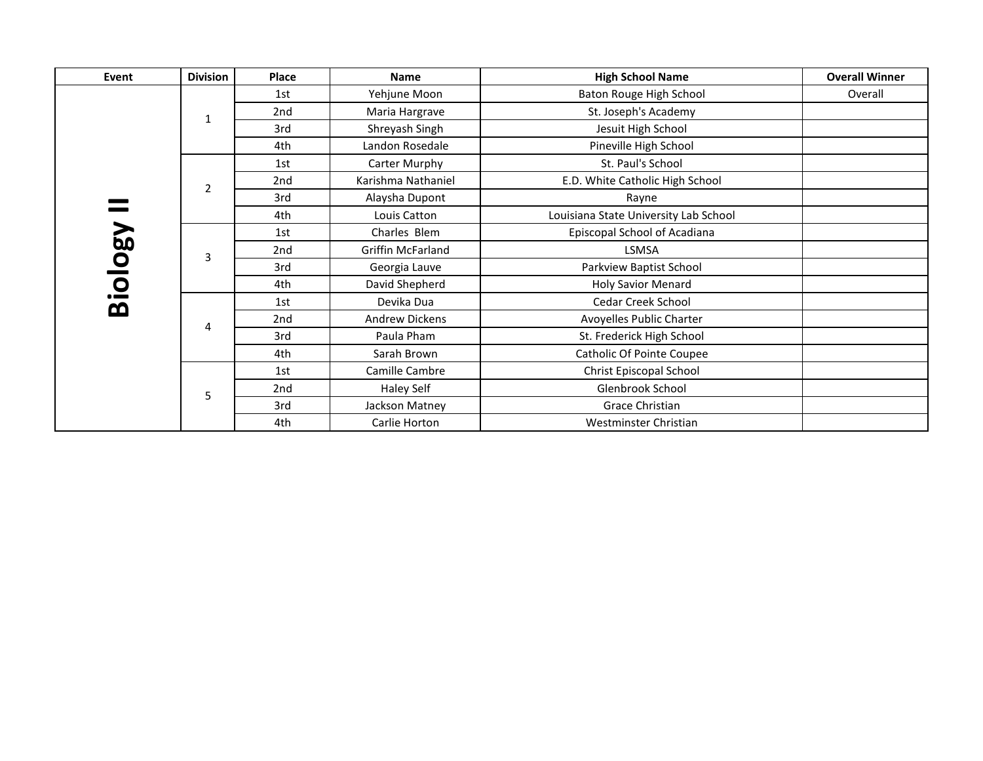| Event   | <b>Division</b> | Place | <b>Name</b>           | <b>High School Name</b>               | <b>Overall Winner</b> |
|---------|-----------------|-------|-----------------------|---------------------------------------|-----------------------|
|         |                 | 1st   | Yehjune Moon          | Baton Rouge High School               | Overall               |
|         | 1               | 2nd   | Maria Hargrave        | St. Joseph's Academy                  |                       |
|         |                 | 3rd   | Shreyash Singh        | Jesuit High School                    |                       |
|         |                 | 4th   | Landon Rosedale       | Pineville High School                 |                       |
|         |                 | 1st   | Carter Murphy         | St. Paul's School                     |                       |
|         | $\overline{2}$  | 2nd   | Karishma Nathaniel    | E.D. White Catholic High School       |                       |
|         |                 | 3rd   | Alaysha Dupont        | Rayne                                 |                       |
|         |                 | 4th   | Louis Catton          | Louisiana State University Lab School |                       |
| Biology |                 | 1st   | Charles Blem          | Episcopal School of Acadiana          |                       |
|         | 3               | 2nd   | Griffin McFarland     | LSMSA                                 |                       |
|         |                 | 3rd   | Georgia Lauve         | Parkview Baptist School               |                       |
|         |                 | 4th   | David Shepherd        | <b>Holy Savior Menard</b>             |                       |
|         |                 | 1st   | Devika Dua            | Cedar Creek School                    |                       |
|         | 4               | 2nd   | <b>Andrew Dickens</b> | Avoyelles Public Charter              |                       |
|         |                 | 3rd   | Paula Pham            | St. Frederick High School             |                       |
|         |                 | 4th   | Sarah Brown           | Catholic Of Pointe Coupee             |                       |
|         |                 | 1st   | Camille Cambre        | Christ Episcopal School               |                       |
|         | 5               | 2nd   | Haley Self            | Glenbrook School                      |                       |
|         |                 | 3rd   | Jackson Matney        | Grace Christian                       |                       |
|         |                 | 4th   | Carlie Horton         | Westminster Christian                 |                       |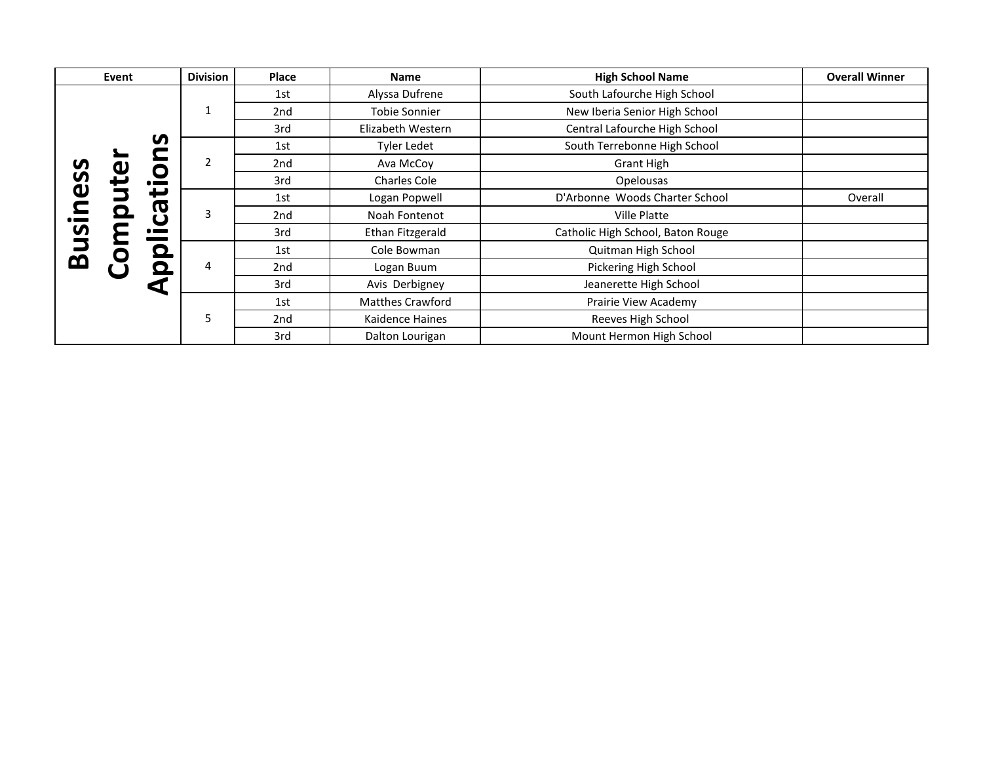|                | Event                          | <b>Division</b> | Place | <b>Name</b>             | <b>High School Name</b>           | <b>Overall Winner</b> |
|----------------|--------------------------------|-----------------|-------|-------------------------|-----------------------------------|-----------------------|
|                |                                |                 | 1st   | Alyssa Dufrene          | South Lafourche High School       |                       |
|                |                                | 1               | 2nd   | Tobie Sonnier           | New Iberia Senior High School     |                       |
|                |                                |                 | 3rd   | Elizabeth Western       | Central Lafourche High School     |                       |
|                | S                              |                 | 1st   | Tyler Ledet             | South Terrebonne High School      |                       |
| S.             | O                              | 2               | 2nd   | Ava McCoy               | <b>Grant High</b>                 |                       |
| S              | $\mathbf{e}$<br>$\bullet$      |                 | 3rd   | <b>Charles Cole</b>     | Opelousas                         |                       |
| $\mathbf u$    |                                | 3               | 1st   | Logan Popwell           | D'Arbonne Woods Charter School    | Overall               |
|                | $\bar{\mathbf{o}}$<br><b>G</b> |                 | 2nd   | Noah Fontenot           | <b>Ville Platte</b>               |                       |
| $\overline{a}$ | $\bullet$ and $\bullet$        |                 | 3rd   | Ethan Fitzgerald        | Catholic High School, Baton Rouge |                       |
|                | O<br>$\bullet$                 |                 | 1st   | Cole Bowman             | Quitman High School               |                       |
| <u>ლ</u>       |                                | 4               | 2nd   | Logan Buum              | Pickering High School             |                       |
|                | $\leq$                         |                 | 3rd   | Avis Derbigney          | Jeanerette High School            |                       |
|                |                                |                 | 1st   | <b>Matthes Crawford</b> | Prairie View Academy              |                       |
|                |                                | 5               | 2nd   | Kaidence Haines         | Reeves High School                |                       |
|                |                                |                 | 3rd   | Dalton Lourigan         | Mount Hermon High School          |                       |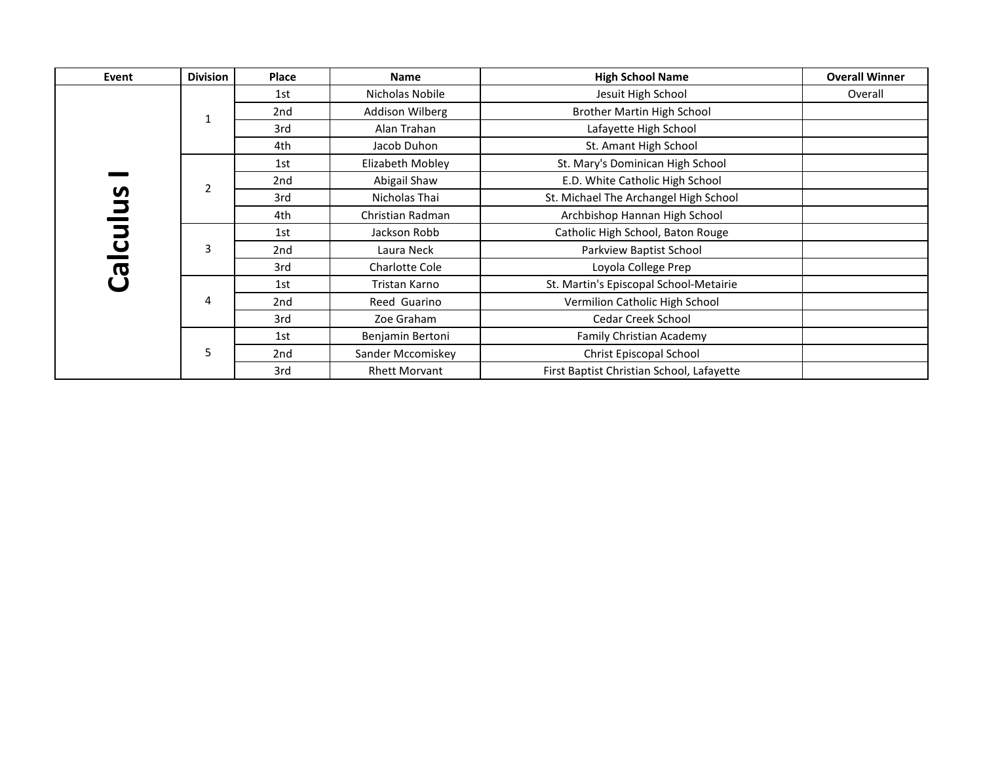| Event      | <b>Division</b> | <b>Place</b> | <b>Name</b>          | <b>High School Name</b>                   | <b>Overall Winner</b> |
|------------|-----------------|--------------|----------------------|-------------------------------------------|-----------------------|
|            |                 | 1st          | Nicholas Nobile      | Jesuit High School                        | Overall               |
|            | 1               | 2nd          | Addison Wilberg      | Brother Martin High School                |                       |
|            |                 | 3rd          | Alan Trahan          | Lafayette High School                     |                       |
|            |                 | 4th          | Jacob Duhon          | St. Amant High School                     |                       |
|            |                 | 1st          | Elizabeth Mobley     | St. Mary's Dominican High School          |                       |
|            | $\overline{2}$  | 2nd          | Abigail Shaw         | E.D. White Catholic High School           |                       |
| Snl        |                 | 3rd          | Nicholas Thai        | St. Michael The Archangel High School     |                       |
|            |                 | 4th          | Christian Radman     | Archbishop Hannan High School             |                       |
| <u>ing</u> |                 | 1st          | Jackson Robb         | Catholic High School, Baton Rouge         |                       |
|            | 3               | 2nd          | Laura Neck           | Parkview Baptist School                   |                       |
| <u>ලි</u>  |                 | 3rd          | Charlotte Cole       | Loyola College Prep                       |                       |
|            |                 | 1st          | Tristan Karno        | St. Martin's Episcopal School-Metairie    |                       |
|            | 4               | 2nd          | Reed Guarino         | Vermilion Catholic High School            |                       |
|            |                 | 3rd          | Zoe Graham           | <b>Cedar Creek School</b>                 |                       |
|            |                 | 1st          | Benjamin Bertoni     | Family Christian Academy                  |                       |
|            | 5               | 2nd          | Sander Mccomiskey    | Christ Episcopal School                   |                       |
|            |                 | 3rd          | <b>Rhett Morvant</b> | First Baptist Christian School, Lafayette |                       |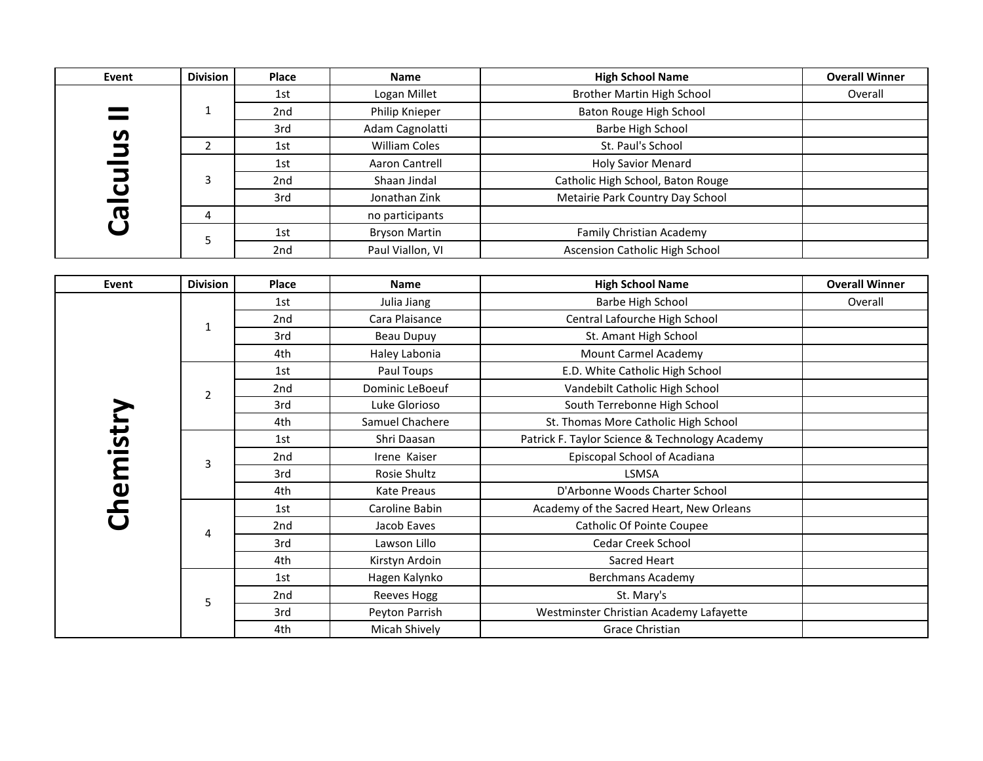| Event     | <b>Division</b> | Place | <b>Name</b>           | <b>High School Name</b>                        | <b>Overall Winner</b> |
|-----------|-----------------|-------|-----------------------|------------------------------------------------|-----------------------|
|           |                 | 1st   | Logan Millet          | <b>Brother Martin High School</b>              | Overall               |
|           | $\mathbf{1}$    | 2nd   | Philip Knieper        | Baton Rouge High School                        |                       |
|           |                 | 3rd   | Adam Cagnolatti       | Barbe High School                              |                       |
|           | $\overline{2}$  | 1st   | <b>William Coles</b>  | St. Paul's School                              |                       |
|           |                 | 1st   | <b>Aaron Cantrell</b> | <b>Holy Savior Menard</b>                      |                       |
|           | 3               | 2nd   | Shaan Jindal          | Catholic High School, Baton Rouge              |                       |
|           |                 | 3rd   | Jonathan Zink         | Metairie Park Country Day School               |                       |
| Calculus  | 4               |       | no participants       |                                                |                       |
|           | 5               | 1st   | <b>Bryson Martin</b>  | <b>Family Christian Academy</b>                |                       |
|           |                 | 2nd   | Paul Viallon, VI      | Ascension Catholic High School                 |                       |
|           |                 |       |                       |                                                |                       |
| Event     | <b>Division</b> | Place | <b>Name</b>           | <b>High School Name</b>                        | <b>Overall Winner</b> |
|           |                 | 1st   | Julia Jiang           | Barbe High School                              | Overall               |
|           | $\mathbf{1}$    | 2nd   | Cara Plaisance        | Central Lafourche High School                  |                       |
|           |                 | 3rd   | <b>Beau Dupuy</b>     | St. Amant High School                          |                       |
|           |                 | 4th   | Haley Labonia         | <b>Mount Carmel Academy</b>                    |                       |
|           | $\overline{2}$  | 1st   | Paul Toups            | E.D. White Catholic High School                |                       |
|           |                 | 2nd   | Dominic LeBoeuf       | Vandebilt Catholic High School                 |                       |
|           |                 | 3rd   | Luke Glorioso         | South Terrebonne High School                   |                       |
|           |                 | 4th   | Samuel Chachere       | St. Thomas More Catholic High School           |                       |
| Chemistry |                 | 1st   | Shri Daasan           | Patrick F. Taylor Science & Technology Academy |                       |
|           | 3               | 2nd   | Irene Kaiser          | Episcopal School of Acadiana                   |                       |
|           |                 | 3rd   | Rosie Shultz          | LSMSA                                          |                       |
|           |                 | 4th   | <b>Kate Preaus</b>    | D'Arbonne Woods Charter School                 |                       |
|           |                 | 1st   | Caroline Babin        | Academy of the Sacred Heart, New Orleans       |                       |
|           | 4               | 2nd   | Jacob Eaves           | <b>Catholic Of Pointe Coupee</b>               |                       |
|           |                 | 3rd   | Lawson Lillo          | Cedar Creek School                             |                       |
|           |                 | 4th   | Kirstyn Ardoin        | Sacred Heart                                   |                       |
|           |                 | 1st   | Hagen Kalynko         | <b>Berchmans Academy</b>                       |                       |
|           | 5               | 2nd   | <b>Reeves Hogg</b>    | St. Mary's                                     |                       |
|           |                 | 3rd   | Peyton Parrish        | Westminster Christian Academy Lafayette        |                       |
|           |                 | 4th   | Micah Shively         | Grace Christian                                |                       |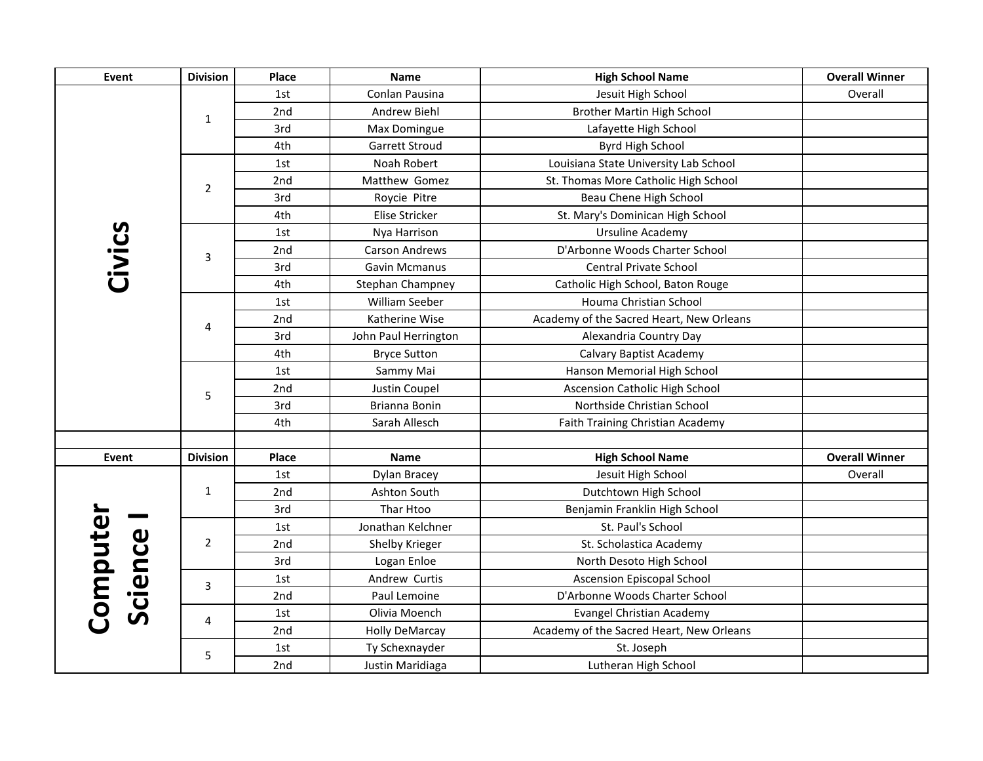| Event               | <b>Division</b> | <b>Place</b> | <b>Name</b>           | <b>High School Name</b>                  | <b>Overall Winner</b> |
|---------------------|-----------------|--------------|-----------------------|------------------------------------------|-----------------------|
|                     |                 | 1st          | Conlan Pausina        | Jesuit High School                       | Overall               |
|                     | $\mathbf{1}$    | 2nd          | Andrew Biehl          | Brother Martin High School               |                       |
|                     |                 | 3rd          | Max Domingue          | Lafayette High School                    |                       |
|                     |                 | 4th          | <b>Garrett Stroud</b> | Byrd High School                         |                       |
|                     |                 | 1st          | Noah Robert           | Louisiana State University Lab School    |                       |
|                     | $\overline{2}$  | 2nd          | Matthew Gomez         | St. Thomas More Catholic High School     |                       |
|                     |                 | 3rd          | Roycie Pitre          | Beau Chene High School                   |                       |
|                     |                 | 4th          | Elise Stricker        | St. Mary's Dominican High School         |                       |
|                     |                 | 1st          | Nya Harrison          | Ursuline Academy                         |                       |
|                     | 3               | 2nd          | <b>Carson Andrews</b> | D'Arbonne Woods Charter School           |                       |
|                     |                 | 3rd          | <b>Gavin Mcmanus</b>  | Central Private School                   |                       |
| Civics              |                 | 4th          | Stephan Champney      | Catholic High School, Baton Rouge        |                       |
|                     |                 | 1st          | William Seeber        | Houma Christian School                   |                       |
|                     | 4               | 2nd          | Katherine Wise        | Academy of the Sacred Heart, New Orleans |                       |
|                     |                 | 3rd          | John Paul Herrington  | Alexandria Country Day                   |                       |
|                     |                 | 4th          | <b>Bryce Sutton</b>   | Calvary Baptist Academy                  |                       |
|                     | 5               | 1st          | Sammy Mai             | Hanson Memorial High School              |                       |
|                     |                 | 2nd          | Justin Coupel         | <b>Ascension Catholic High School</b>    |                       |
|                     |                 | 3rd          | Brianna Bonin         | Northside Christian School               |                       |
|                     |                 | 4th          | Sarah Allesch         | Faith Training Christian Academy         |                       |
|                     |                 |              |                       |                                          |                       |
| Event               | <b>Division</b> | Place        | <b>Name</b>           | <b>High School Name</b>                  | <b>Overall Winner</b> |
|                     |                 | 1st          | Dylan Bracey          | Jesuit High School                       | Overall               |
|                     | $\mathbf{1}$    | 2nd          | Ashton South          | Dutchtown High School                    |                       |
|                     |                 | 3rd          | Thar Htoo             | Benjamin Franklin High School            |                       |
|                     |                 | 1st          | Jonathan Kelchner     | St. Paul's School                        |                       |
|                     | $\overline{2}$  | 2nd          | Shelby Krieger        | St. Scholastica Academy                  |                       |
|                     |                 | 3rd          | Logan Enloe           | North Desoto High School                 |                       |
| Computer<br>Science | 3               | 1st          | Andrew Curtis         | <b>Ascension Episcopal School</b>        |                       |
|                     |                 | 2nd          | Paul Lemoine          | D'Arbonne Woods Charter School           |                       |
|                     | 4               | 1st          | Olivia Moench         | Evangel Christian Academy                |                       |
|                     |                 | 2nd          | <b>Holly DeMarcay</b> | Academy of the Sacred Heart, New Orleans |                       |
|                     | 5               | 1st          | Ty Schexnayder        | St. Joseph                               |                       |
|                     |                 | 2nd          | Justin Maridiaga      | Lutheran High School                     |                       |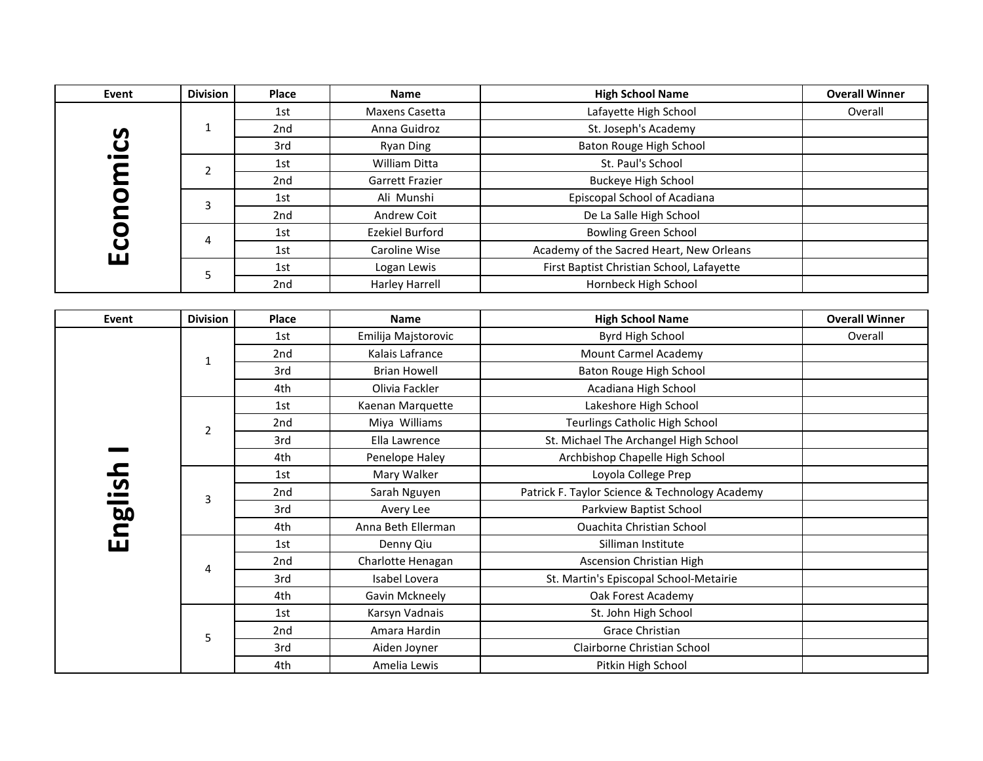| Event   | <b>Division</b> | <b>Place</b> | <b>Name</b>           | <b>High School Name</b>                        | <b>Overall Winner</b> |
|---------|-----------------|--------------|-----------------------|------------------------------------------------|-----------------------|
|         |                 | 1st          | Maxens Casetta        | Lafayette High School                          | Overall               |
|         | $\mathbf{1}$    | 2nd          | Anna Guidroz          | St. Joseph's Academy                           |                       |
|         |                 | 3rd          | <b>Ryan Ding</b>      | Baton Rouge High School                        |                       |
|         | $\overline{2}$  | 1st          | William Ditta         | St. Paul's School                              |                       |
|         |                 | 2nd          | Garrett Frazier       | <b>Buckeye High School</b>                     |                       |
|         |                 | 1st          | Ali Munshi            | Episcopal School of Acadiana                   |                       |
|         | Economics<br>3  | 2nd          | Andrew Coit           | De La Salle High School                        |                       |
|         | 4               | 1st          | Ezekiel Burford       | <b>Bowling Green School</b>                    |                       |
|         |                 | 1st          | Caroline Wise         | Academy of the Sacred Heart, New Orleans       |                       |
|         | 5               | 1st          | Logan Lewis           | First Baptist Christian School, Lafayette      |                       |
|         |                 | 2nd          | <b>Harley Harrell</b> | Hornbeck High School                           |                       |
|         |                 |              |                       |                                                |                       |
| Event   | <b>Division</b> | Place        | <b>Name</b>           | <b>High School Name</b>                        | <b>Overall Winner</b> |
|         |                 | 1st          | Emilija Majstorovic   | Byrd High School                               | Overall               |
|         | $\mathbf{1}$    | 2nd          | Kalais Lafrance       | Mount Carmel Academy                           |                       |
|         |                 | 3rd          | <b>Brian Howell</b>   | Baton Rouge High School                        |                       |
|         |                 | 4th          | Olivia Fackler        | Acadiana High School                           |                       |
|         | $\overline{2}$  | 1st          | Kaenan Marquette      | Lakeshore High School                          |                       |
|         |                 | 2nd          | Miya Williams         | <b>Teurlings Catholic High School</b>          |                       |
|         |                 | 3rd          | Ella Lawrence         | St. Michael The Archangel High School          |                       |
|         |                 | 4th          | Penelope Haley        | Archbishop Chapelle High School                |                       |
|         |                 | 1st          | Mary Walker           | Loyola College Prep                            |                       |
| English | $\overline{3}$  | 2nd          | Sarah Nguyen          | Patrick F. Taylor Science & Technology Academy |                       |
|         |                 | 3rd          | Avery Lee             | Parkview Baptist School                        |                       |
|         |                 | 4th          | Anna Beth Ellerman    | <b>Ouachita Christian School</b>               |                       |
|         |                 | 1st          | Denny Qiu             | Silliman Institute                             |                       |
|         | $\overline{4}$  | 2nd          | Charlotte Henagan     | <b>Ascension Christian High</b>                |                       |
|         |                 | 3rd          | Isabel Lovera         | St. Martin's Episcopal School-Metairie         |                       |
|         |                 | 4th          | Gavin Mckneely        | Oak Forest Academy                             |                       |
|         |                 | 1st          | Karsyn Vadnais        | St. John High School                           |                       |
|         | 5               | 2nd          | Amara Hardin          | <b>Grace Christian</b>                         |                       |
|         |                 | 3rd          | Aiden Joyner          | Clairborne Christian School                    |                       |
|         |                 | 4th          | Amelia Lewis          | Pitkin High School                             |                       |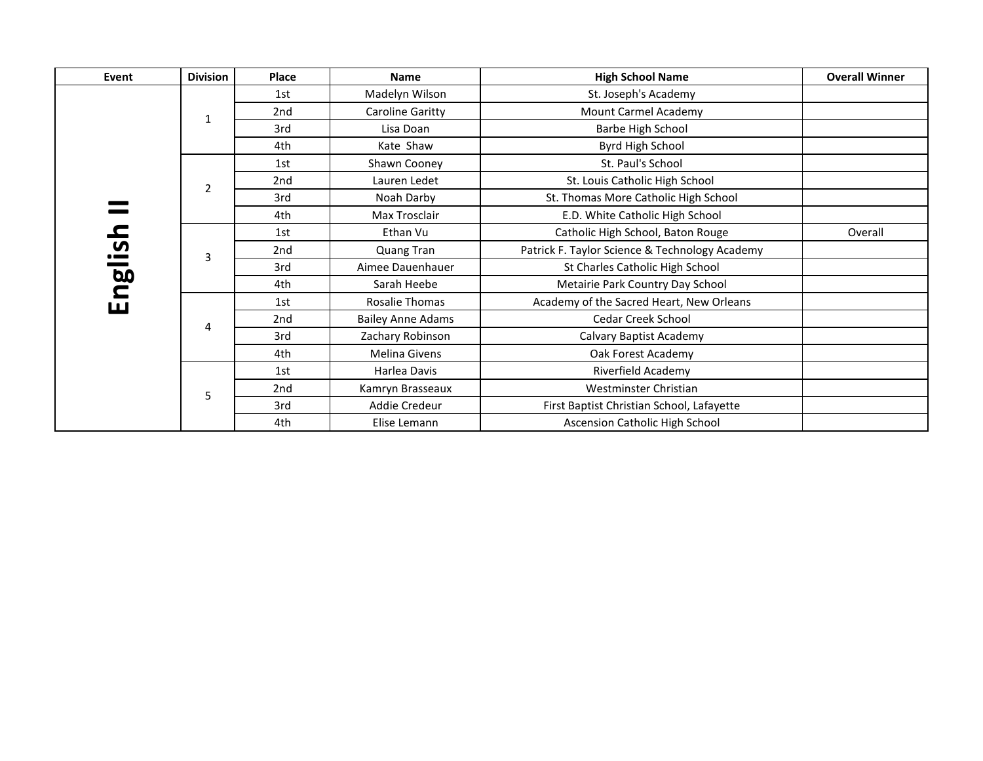| Event       | <b>Division</b> | Place | <b>Name</b>              | <b>High School Name</b>                        | <b>Overall Winner</b> |
|-------------|-----------------|-------|--------------------------|------------------------------------------------|-----------------------|
|             |                 | 1st   | Madelyn Wilson           | St. Joseph's Academy                           |                       |
|             | 1               | 2nd   | Caroline Garitty         | Mount Carmel Academy                           |                       |
|             |                 | 3rd   | Lisa Doan                | <b>Barbe High School</b>                       |                       |
|             |                 | 4th   | Kate Shaw                | Byrd High School                               |                       |
|             |                 | 1st   | Shawn Cooney             | St. Paul's School                              |                       |
|             | 2               | 2nd   | Lauren Ledet             | St. Louis Catholic High School                 |                       |
|             |                 | 3rd   | Noah Darby               | St. Thomas More Catholic High School           |                       |
|             |                 | 4th   | Max Trosclair            | E.D. White Catholic High School                |                       |
| <u>nsil</u> |                 | 1st   | Ethan Vu                 | Catholic High School, Baton Rouge              | Overall               |
|             | 3               | 2nd   | Quang Tran               | Patrick F. Taylor Science & Technology Academy |                       |
|             |                 | 3rd   | Aimee Dauenhauer         | St Charles Catholic High School                |                       |
| ngl         |                 | 4th   | Sarah Heebe              | Metairie Park Country Day School               |                       |
| ш           |                 | 1st   | Rosalie Thomas           | Academy of the Sacred Heart, New Orleans       |                       |
|             | 4               | 2nd   | <b>Bailey Anne Adams</b> | Cedar Creek School                             |                       |
|             |                 | 3rd   | Zachary Robinson         | Calvary Baptist Academy                        |                       |
|             |                 | 4th   | Melina Givens            | Oak Forest Academy                             |                       |
|             |                 | 1st   | Harlea Davis             | Riverfield Academy                             |                       |
|             | 5               | 2nd   | Kamryn Brasseaux         | Westminster Christian                          |                       |
|             |                 | 3rd   | Addie Credeur            | First Baptist Christian School, Lafayette      |                       |
|             |                 | 4th   | Elise Lemann             | Ascension Catholic High School                 |                       |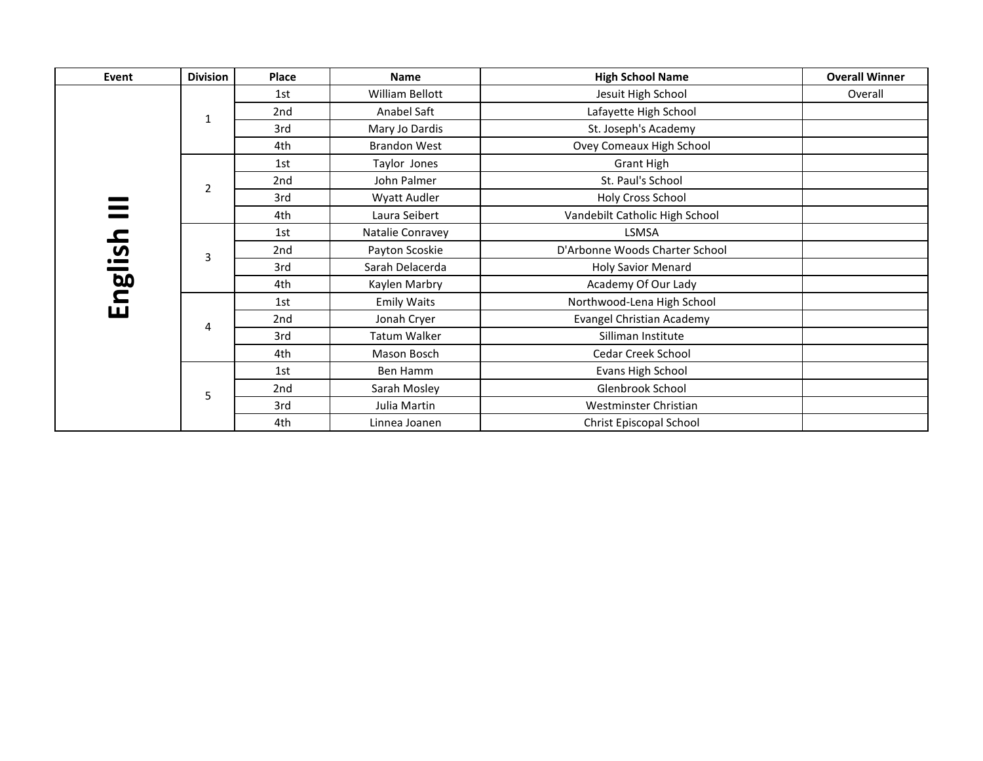| Event   | <b>Division</b> | Place | <b>Name</b>         | <b>High School Name</b>          | <b>Overall Winner</b> |
|---------|-----------------|-------|---------------------|----------------------------------|-----------------------|
|         |                 | 1st   | William Bellott     | Jesuit High School               | Overall               |
|         | 1               | 2nd   | Anabel Saft         | Lafayette High School            |                       |
|         |                 | 3rd   | Mary Jo Dardis      | St. Joseph's Academy             |                       |
|         |                 | 4th   | <b>Brandon West</b> | Ovey Comeaux High School         |                       |
|         |                 | 1st   | Taylor Jones        | <b>Grant High</b>                |                       |
|         | $\overline{2}$  | 2nd   | John Palmer         | St. Paul's School                |                       |
|         |                 | 3rd   | Wyatt Audler        | Holy Cross School                |                       |
|         |                 | 4th   | Laura Seibert       | Vandebilt Catholic High School   |                       |
|         |                 | 1st   | Natalie Conravey    | <b>LSMSA</b>                     |                       |
|         | 3               | 2nd   | Payton Scoskie      | D'Arbonne Woods Charter School   |                       |
|         |                 | 3rd   | Sarah Delacerda     | Holy Savior Menard               |                       |
|         |                 | 4th   | Kaylen Marbry       | Academy Of Our Lady              |                       |
| English |                 | 1st   | <b>Emily Waits</b>  | Northwood-Lena High School       |                       |
|         | 4               | 2nd   | Jonah Cryer         | <b>Evangel Christian Academy</b> |                       |
|         |                 | 3rd   | Tatum Walker        | Silliman Institute               |                       |
|         |                 | 4th   | Mason Bosch         | Cedar Creek School               |                       |
|         |                 | 1st   | Ben Hamm            | Evans High School                |                       |
|         | 5               | 2nd   | Sarah Mosley        | Glenbrook School                 |                       |
|         |                 | 3rd   | Julia Martin        | Westminster Christian            |                       |
|         |                 | 4th   | Linnea Joanen       | Christ Episcopal School          |                       |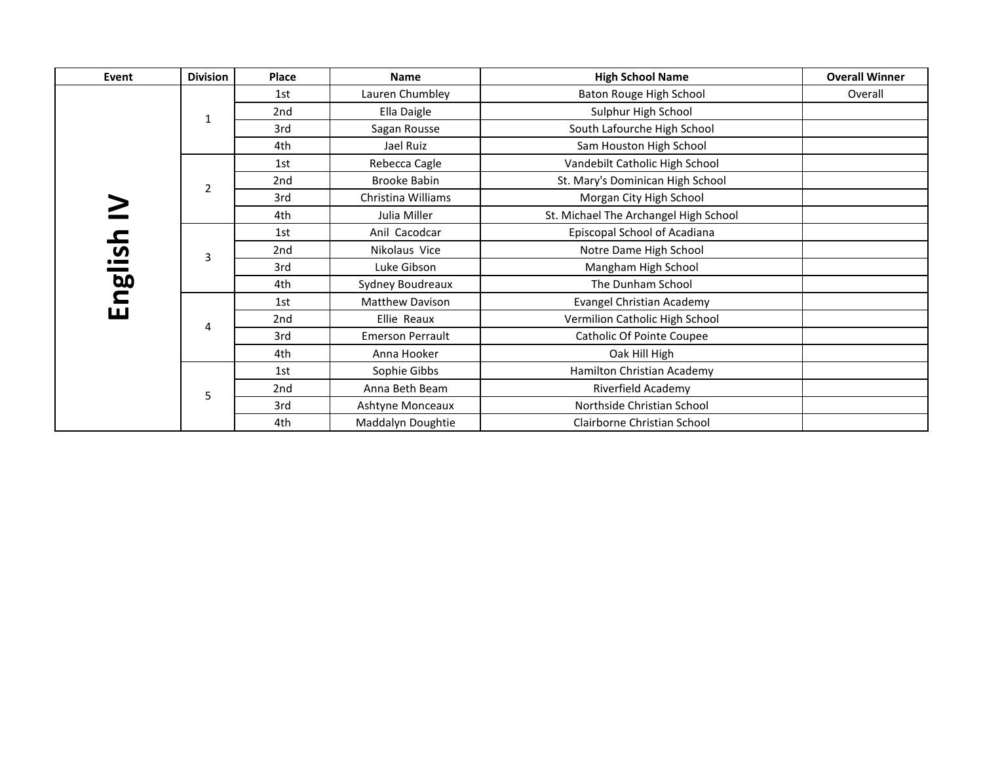| Event   | <b>Division</b> | Place           | <b>Name</b>             | <b>High School Name</b>               | <b>Overall Winner</b> |
|---------|-----------------|-----------------|-------------------------|---------------------------------------|-----------------------|
|         |                 | 1st             | Lauren Chumbley         | Baton Rouge High School               | Overall               |
|         | 1               | 2nd             | Ella Daigle             | Sulphur High School                   |                       |
|         |                 | 3rd             | Sagan Rousse            | South Lafourche High School           |                       |
|         |                 | 4th             | Jael Ruiz               | Sam Houston High School               |                       |
|         |                 | 1st             | Rebecca Cagle           | Vandebilt Catholic High School        |                       |
|         | $\overline{2}$  | 2 <sub>nd</sub> | <b>Brooke Babin</b>     | St. Mary's Dominican High School      |                       |
|         |                 | 3rd             | Christina Williams      | Morgan City High School               |                       |
|         |                 | 4th             | Julia Miller            | St. Michael The Archangel High School |                       |
|         |                 | 1st             | Anil Cacodcar           | Episcopal School of Acadiana          |                       |
|         | 3               | 2 <sub>nd</sub> | Nikolaus Vice           | Notre Dame High School                |                       |
|         |                 | 3rd             | Luke Gibson             | Mangham High School                   |                       |
|         |                 | 4th             | Sydney Boudreaux        | The Dunham School                     |                       |
| English |                 | 1st             | Matthew Davison         | Evangel Christian Academy             |                       |
|         | 4               | 2 <sub>nd</sub> | Ellie Reaux             | Vermilion Catholic High School        |                       |
|         |                 | 3rd             | <b>Emerson Perrault</b> | Catholic Of Pointe Coupee             |                       |
|         |                 | 4th             | Anna Hooker             | Oak Hill High                         |                       |
|         |                 | 1st             | Sophie Gibbs            | Hamilton Christian Academy            |                       |
|         | 5               | 2nd             | Anna Beth Beam          | Riverfield Academy                    |                       |
|         |                 | 3rd             | Ashtyne Monceaux        | Northside Christian School            |                       |
|         |                 | 4th             | Maddalyn Doughtie       | Clairborne Christian School           |                       |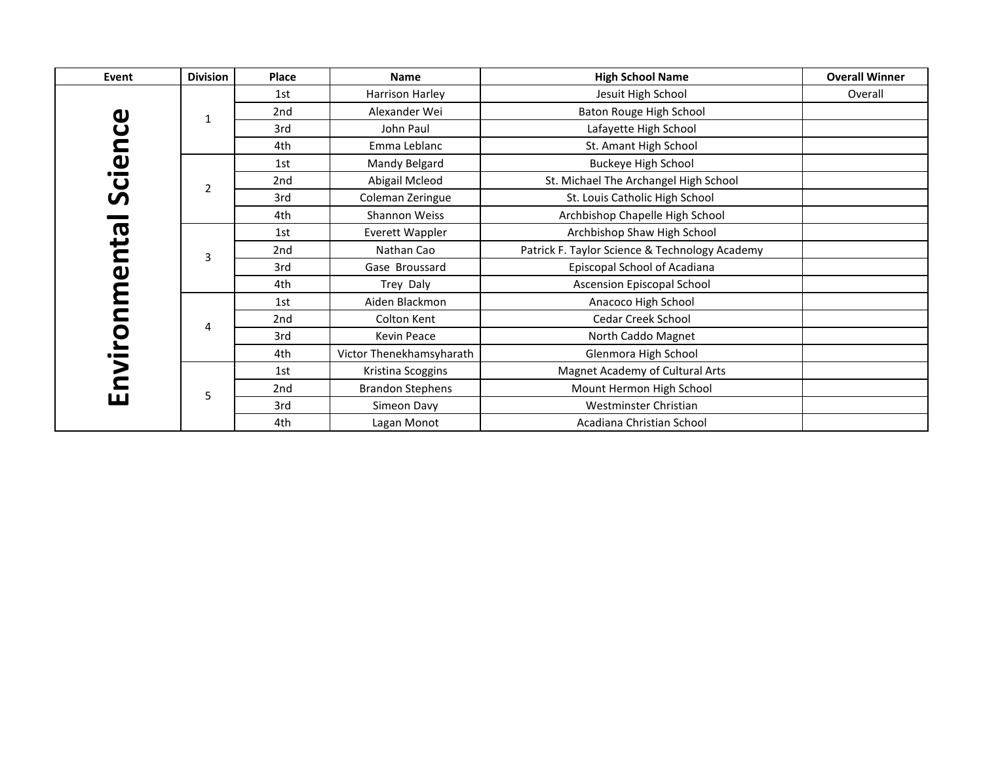| Event          | <b>Division</b> | Place           | Name                     | <b>High School Name</b>                        | <b>Overall Winner</b> |
|----------------|-----------------|-----------------|--------------------------|------------------------------------------------|-----------------------|
|                |                 | 1st             | Harrison Harley          | Jesuit High School                             | Overall               |
| Φ              | 1               | 2 <sub>nd</sub> | Alexander Wei            | Baton Rouge High School                        |                       |
| $\mathbf C$    |                 | 3rd             | John Paul                | Lafayette High School                          |                       |
|                |                 | 4th             | Emma Leblanc             | St. Amant High School                          |                       |
|                |                 | 1st             | Mandy Belgard            | <b>Buckeye High School</b>                     |                       |
| Scien          | $\overline{2}$  | 2nd             | Abigail Mcleod           | St. Michael The Archangel High School          |                       |
|                |                 | 3rd             | Coleman Zeringue         | St. Louis Catholic High School                 |                       |
|                |                 | 4th             | Shannon Weiss            | Archbishop Chapelle High School                |                       |
| nta            |                 | 1st             | Everett Wappler          | Archbishop Shaw High School                    |                       |
|                | 3               | 2 <sub>nd</sub> | Nathan Cao               | Patrick F. Taylor Science & Technology Academy |                       |
| $\mathbf{v}$   |                 | 3rd             | Gase Broussard           | Episcopal School of Acadiana                   |                       |
|                |                 | 4th             | Trey Daly                | Ascension Episcopal School                     |                       |
|                |                 | 1st             | Aiden Blackmon           | Anacoco High School                            |                       |
|                | 4               | 2nd             | Colton Kent              | Cedar Creek School                             |                       |
|                |                 | 3rd             | Kevin Peace              | North Caddo Magnet                             |                       |
|                |                 | 4th             | Victor Thenekhamsyharath | Glenmora High School                           |                       |
| nvironm        |                 | 1st             | Kristina Scoggins        | Magnet Academy of Cultural Arts                |                       |
|                | 5               | 2nd             | <b>Brandon Stephens</b>  | Mount Hermon High School                       |                       |
| $\blacksquare$ |                 | 3rd             | Simeon Davy              | Westminster Christian                          |                       |
|                |                 | 4th             | Lagan Monot              | Acadiana Christian School                      |                       |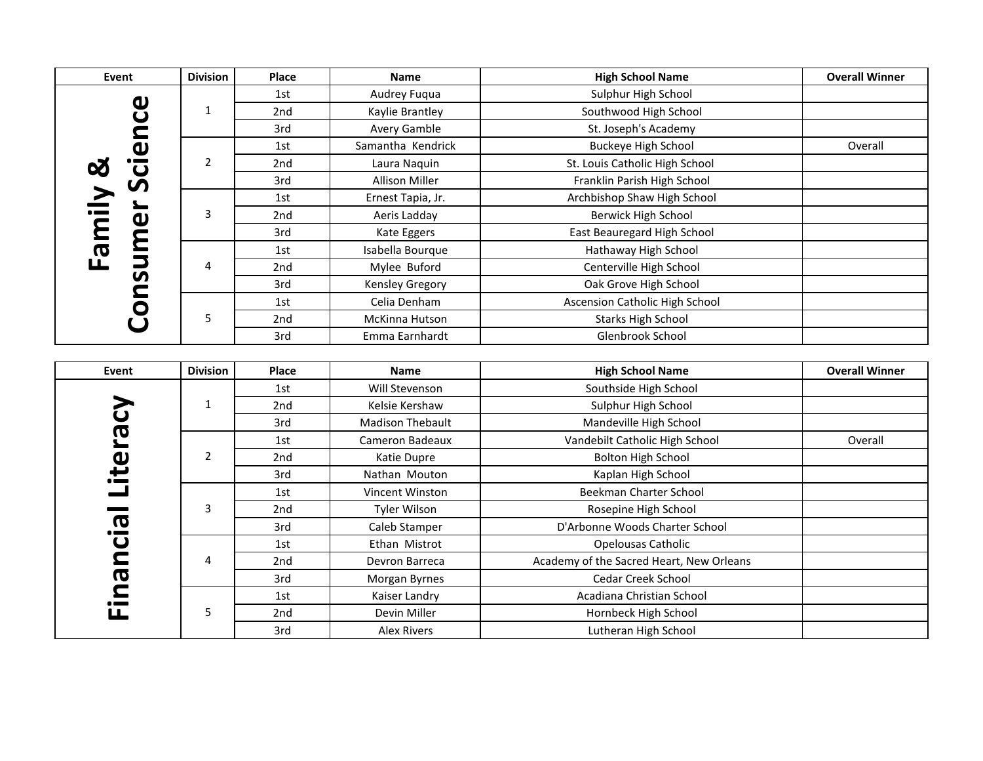| Event                   | <b>Division</b> | Place | <b>Name</b>             | <b>High School Name</b>                  | <b>Overall Winner</b> |
|-------------------------|-----------------|-------|-------------------------|------------------------------------------|-----------------------|
|                         |                 | 1st   | Audrey Fuqua            | Sulphur High School                      |                       |
|                         | $\mathbf{1}$    | 2nd   | Kaylie Brantley         | Southwood High School                    |                       |
|                         |                 | 3rd   | Avery Gamble            | St. Joseph's Academy                     |                       |
|                         |                 | 1st   | Samantha Kendrick       | <b>Buckeye High School</b>               | Overall               |
|                         | $\overline{2}$  | 2nd   | Laura Naquin            | St. Louis Catholic High School           |                       |
|                         |                 | 3rd   | <b>Allison Miller</b>   | Franklin Parish High School              |                       |
|                         |                 | 1st   | Ernest Tapia, Jr.       | Archbishop Shaw High School              |                       |
|                         | 3               | 2nd   | Aeris Ladday            | Berwick High School                      |                       |
|                         |                 | 3rd   | Kate Eggers             | East Beauregard High School              |                       |
| Family &                |                 | 1st   | Isabella Bourque        | Hathaway High School                     |                       |
| <b>Consumer Science</b> | 4               | 2nd   | Mylee Buford            | Centerville High School                  |                       |
|                         |                 | 3rd   | Kensley Gregory         | Oak Grove High School                    |                       |
|                         |                 | 1st   | Celia Denham            | <b>Ascension Catholic High School</b>    |                       |
|                         | 5               | 2nd   | McKinna Hutson          | <b>Starks High School</b>                |                       |
|                         |                 | 3rd   | Emma Earnhardt          | Glenbrook School                         |                       |
|                         |                 |       |                         |                                          |                       |
| Event                   | <b>Division</b> | Place | <b>Name</b>             | <b>High School Name</b>                  | <b>Overall Winner</b> |
|                         |                 | 1st   | Will Stevenson          | Southside High School                    |                       |
|                         | $\mathbf{1}$    | 2nd   | Kelsie Kershaw          | Sulphur High School                      |                       |
|                         |                 | 3rd   | <b>Madison Thebault</b> | Mandeville High School                   |                       |
|                         |                 | 1st   | Cameron Badeaux         | Vandebilt Catholic High School           | Overall               |
|                         | $\overline{2}$  | 2nd   | Katie Dupre             | <b>Bolton High School</b>                |                       |
|                         |                 | 3rd   | Nathan Mouton           | Kaplan High School                       |                       |
|                         |                 | 1st   | Vincent Winston         | Beekman Charter School                   |                       |
|                         | 3               | 2nd   | Tyler Wilson            | Rosepine High School                     |                       |
| Financial Literacy      |                 | 3rd   | Caleb Stamper           | D'Arbonne Woods Charter School           |                       |
|                         |                 | 1st   | Ethan Mistrot           | Opelousas Catholic                       |                       |
|                         | 4               | 2nd   | Devron Barreca          | Academy of the Sacred Heart, New Orleans |                       |
|                         |                 | 3rd   | Morgan Byrnes           | Cedar Creek School                       |                       |
|                         |                 | 1st   | Kaiser Landry           | Acadiana Christian School                |                       |
|                         | 5               | 2nd   | Devin Miller            | Hornbeck High School                     |                       |
|                         |                 | 3rd   | <b>Alex Rivers</b>      | Lutheran High School                     |                       |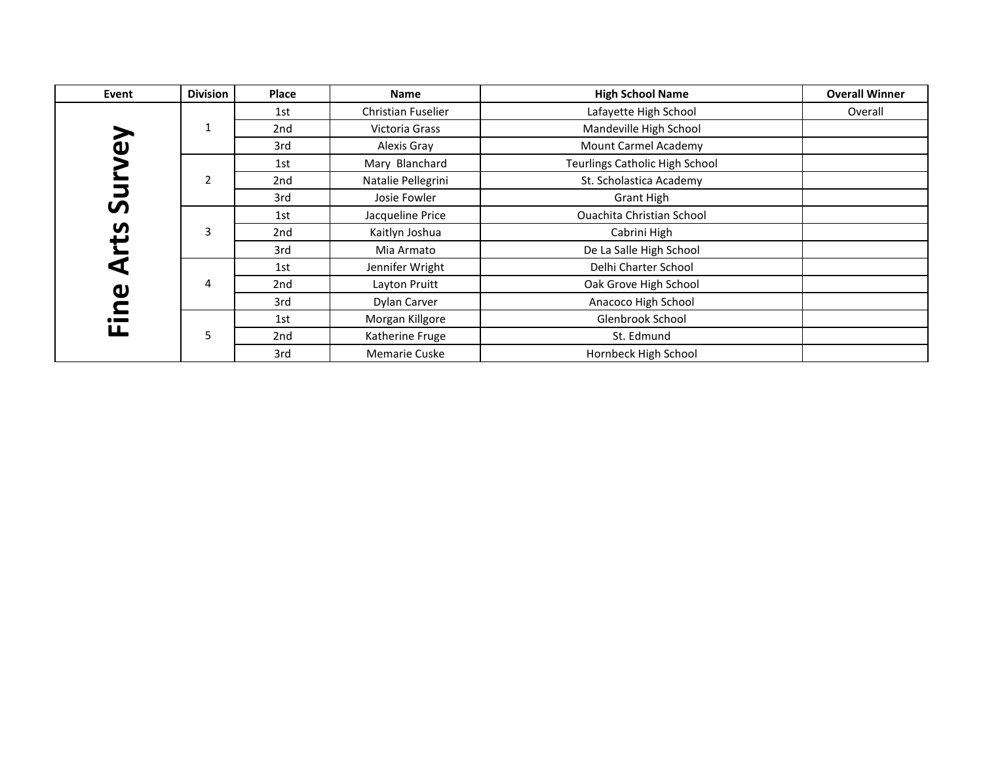| Event                    | <b>Division</b> | <b>Place</b> | <b>Name</b>          | <b>High School Name</b>               | <b>Overall Winner</b> |
|--------------------------|-----------------|--------------|----------------------|---------------------------------------|-----------------------|
|                          |                 | 1st          | Christian Fuselier   | Lafayette High School                 | Overall               |
|                          | 1               | 2nd          | Victoria Grass       | Mandeville High School                |                       |
| $\widetilde{\mathbf{e}}$ |                 | 3rd          | Alexis Gray          | Mount Carmel Academy                  |                       |
|                          |                 | 1st          | Mary Blanchard       | <b>Teurlings Catholic High School</b> |                       |
|                          | $\overline{2}$  | 2nd          | Natalie Pellegrini   | St. Scholastica Academy               |                       |
| コ<br>ທ                   |                 | 3rd          | Josie Fowler         | Grant High                            |                       |
|                          |                 | 1st          | Jacqueline Price     | <b>Ouachita Christian School</b>      |                       |
| <u>ပ</u>                 | 3               | 2nd          | Kaitlyn Joshua       | Cabrini High                          |                       |
|                          |                 | 3rd          | Mia Armato           | De La Salle High School               |                       |
| ⊄                        |                 | 1st          | Jennifer Wright      | Delhi Charter School                  |                       |
|                          | 4               | 2nd          | Layton Pruitt        | Oak Grove High School                 |                       |
| <b>O</b>                 |                 | 3rd          | Dylan Carver         | Anacoco High School                   |                       |
| $\bullet$ and $\bullet$  |                 | 1st          | Morgan Killgore      | Glenbrook School                      |                       |
| ய                        | 5               | 2nd          | Katherine Fruge      | St. Edmund                            |                       |
|                          |                 | 3rd          | <b>Memarie Cuske</b> | Hornbeck High School                  |                       |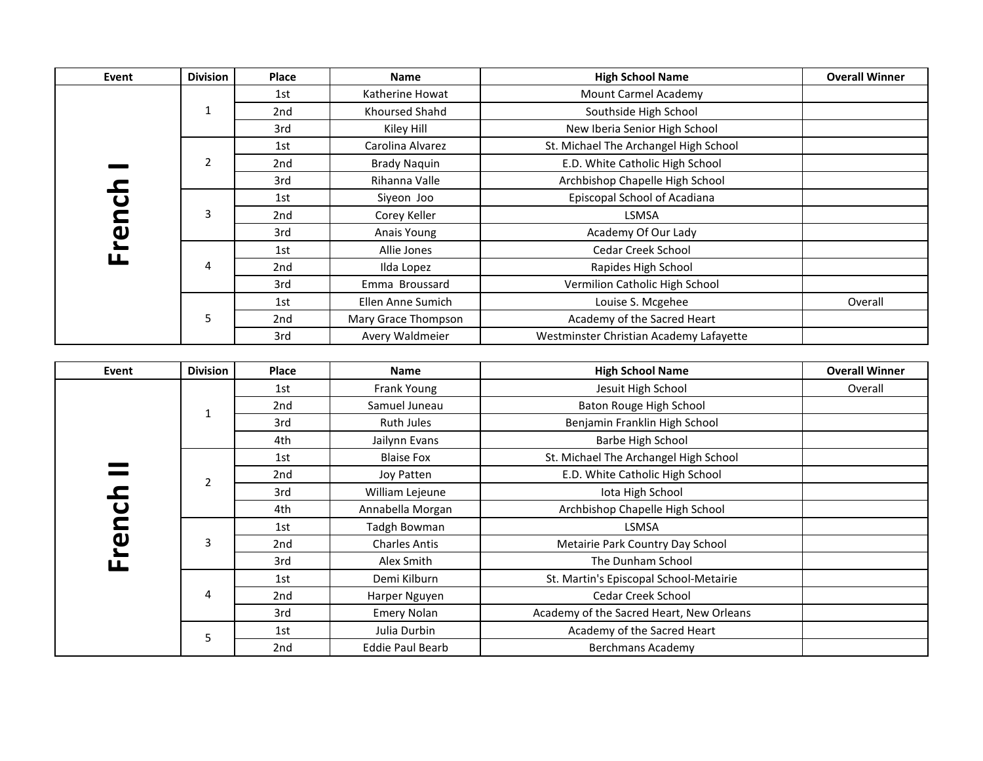| Event             | <b>Division</b> | Place           | <b>Name</b>           | <b>High School Name</b>                 | <b>Overall Winner</b> |
|-------------------|-----------------|-----------------|-----------------------|-----------------------------------------|-----------------------|
|                   |                 | 1st             | Katherine Howat       | Mount Carmel Academy                    |                       |
|                   | 1               | 2nd             | <b>Khoursed Shahd</b> | Southside High School                   |                       |
|                   |                 | 3rd             | Kiley Hill            | New Iberia Senior High School           |                       |
|                   |                 | 1st             | Carolina Alvarez      | St. Michael The Archangel High School   |                       |
|                   | $\overline{2}$  | 2nd             | <b>Brady Naquin</b>   | E.D. White Catholic High School         |                       |
| $\mathbf{\Omega}$ |                 | 3rd             | Rihanna Valle         | Archbishop Chapelle High School         |                       |
|                   |                 | 1st             | Siyeon Joo            | Episcopal School of Acadiana            |                       |
| Frenci            | 3               | 2 <sub>nd</sub> | Corey Keller          | <b>LSMSA</b>                            |                       |
|                   |                 | 3rd             | Anais Young           | Academy Of Our Lady                     |                       |
|                   |                 | 1st             | Allie Jones           | Cedar Creek School                      |                       |
|                   | 4               | 2nd             | Ilda Lopez            | Rapides High School                     |                       |
|                   |                 | 3rd             | Emma Broussard        | Vermilion Catholic High School          |                       |
|                   |                 | 1st             | Ellen Anne Sumich     | Louise S. Mcgehee                       | Overall               |
|                   | 5               | 2nd             | Mary Grace Thompson   | Academy of the Sacred Heart             |                       |
|                   |                 | 3rd             | Avery Waldmeier       | Westminster Christian Academy Lafayette |                       |

| Event     | <b>Division</b> | Place | <b>Name</b>             | <b>High School Name</b>                  | <b>Overall Winner</b> |
|-----------|-----------------|-------|-------------------------|------------------------------------------|-----------------------|
|           |                 | 1st   | Frank Young             | Jesuit High School                       | Overall               |
|           | 1               | 2nd   | Samuel Juneau           | Baton Rouge High School                  |                       |
|           |                 | 3rd   | Ruth Jules              | Benjamin Franklin High School            |                       |
|           |                 | 4th   | Jailynn Evans           | Barbe High School                        |                       |
|           |                 | 1st   | <b>Blaise Fox</b>       | St. Michael The Archangel High School    |                       |
|           | $\overline{2}$  | 2nd   | Joy Patten              | E.D. White Catholic High School          |                       |
|           |                 | 3rd   | William Lejeune         | Iota High School                         |                       |
| nc        |                 | 4th   | Annabella Morgan        | Archbishop Chapelle High School          |                       |
|           |                 | 1st   | Tadgh Bowman            | <b>LSMSA</b>                             |                       |
| <u>ပု</u> | 3               | 2nd   | <b>Charles Antis</b>    | Metairie Park Country Day School         |                       |
|           |                 | 3rd   | Alex Smith              | The Dunham School                        |                       |
|           |                 | 1st   | Demi Kilburn            | St. Martin's Episcopal School-Metairie   |                       |
|           | 4               | 2nd   | Harper Nguyen           | Cedar Creek School                       |                       |
|           |                 | 3rd   | <b>Emery Nolan</b>      | Academy of the Sacred Heart, New Orleans |                       |
|           | 5               | 1st   | Julia Durbin            | Academy of the Sacred Heart              |                       |
|           |                 | 2nd   | <b>Eddie Paul Bearb</b> | Berchmans Academy                        |                       |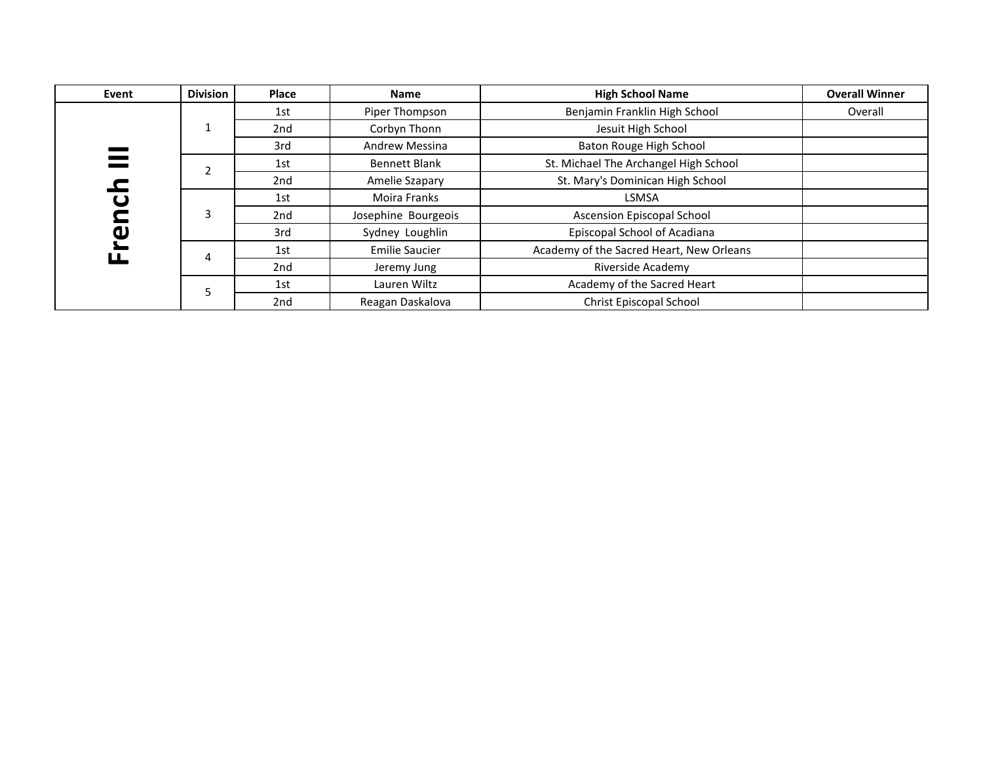| Event                   | <b>Division</b> | Place           | <b>Name</b>           | <b>High School Name</b>                  | <b>Overall Winner</b> |
|-------------------------|-----------------|-----------------|-----------------------|------------------------------------------|-----------------------|
|                         |                 | 1st             | Piper Thompson        | Benjamin Franklin High School            | Overall               |
|                         |                 | 2 <sub>nd</sub> | Corbyn Thonn          | Jesuit High School                       |                       |
| $\equiv$                |                 | 3rd             | <b>Andrew Messina</b> | Baton Rouge High School                  |                       |
|                         |                 | 1st             | <b>Bennett Blank</b>  | St. Michael The Archangel High School    |                       |
|                         |                 | 2nd             | Amelie Szapary        | St. Mary's Dominican High School         |                       |
| $\mathbf \omega$        | 3               | 1st             | Moira Franks          | <b>LSMSA</b>                             |                       |
| $\mathbf{\mathsf{\Xi}}$ |                 | 2nd             | Josephine Bourgeois   | Ascension Episcopal School               |                       |
| ပ္                      |                 | 3rd             | Sydney Loughlin       | Episcopal School of Acadiana             |                       |
|                         | 4               | 1st             | <b>Emilie Saucier</b> | Academy of the Sacred Heart, New Orleans |                       |
|                         |                 | 2nd             | Jeremy Jung           | Riverside Academy                        |                       |
|                         |                 | 1st             | Lauren Wiltz          | Academy of the Sacred Heart              |                       |
|                         |                 | 2nd             | Reagan Daskalova      | Christ Episcopal School                  |                       |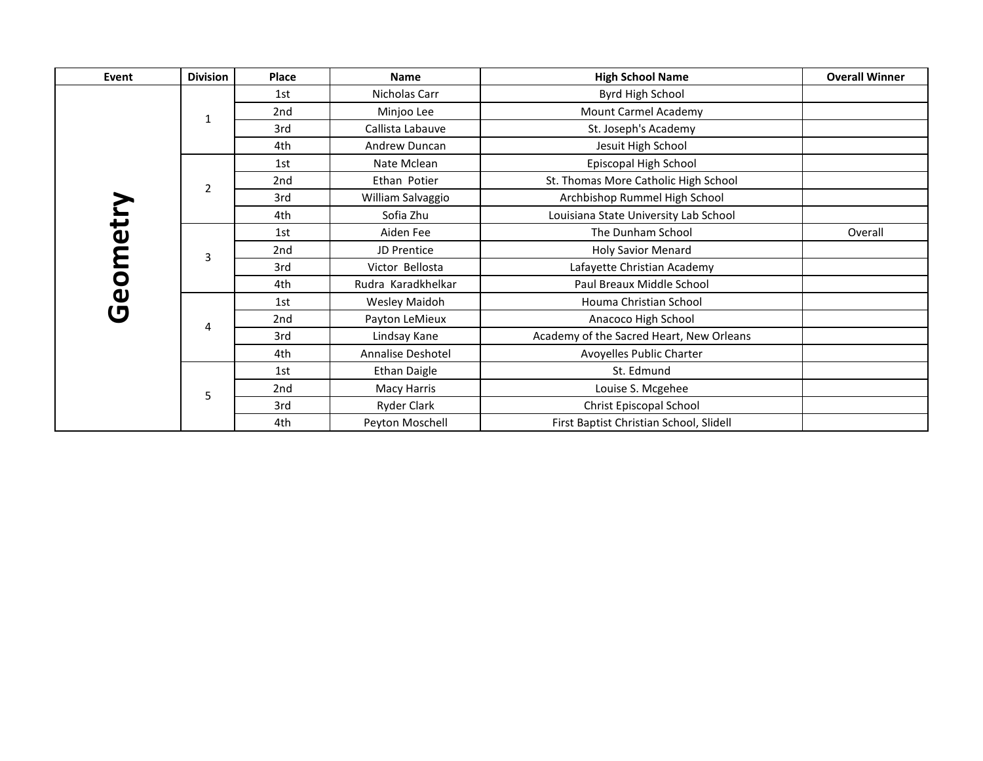| Event    | <b>Division</b> | <b>Place</b> | <b>Name</b>         | <b>High School Name</b>                  | <b>Overall Winner</b> |
|----------|-----------------|--------------|---------------------|------------------------------------------|-----------------------|
|          |                 | 1st          | Nicholas Carr       | Byrd High School                         |                       |
|          | 1               | 2nd          | Minjoo Lee          | Mount Carmel Academy                     |                       |
|          |                 | 3rd          | Callista Labauve    | St. Joseph's Academy                     |                       |
|          |                 | 4th          | Andrew Duncan       | Jesuit High School                       |                       |
|          |                 | 1st          | Nate Mclean         | Episcopal High School                    |                       |
|          | $\overline{2}$  | 2nd          | Ethan Potier        | St. Thomas More Catholic High School     |                       |
|          |                 | 3rd          | William Salvaggio   | Archbishop Rummel High School            |                       |
| Geometry |                 | 4th          | Sofia Zhu           | Louisiana State University Lab School    |                       |
|          |                 | 1st          | Aiden Fee           | The Dunham School                        | Overall               |
|          | 3               | 2nd          | JD Prentice         | <b>Holy Savior Menard</b>                |                       |
|          |                 | 3rd          | Victor Bellosta     | Lafayette Christian Academy              |                       |
|          |                 | 4th          | Rudra Karadkhelkar  | Paul Breaux Middle School                |                       |
|          |                 | 1st          | Wesley Maidoh       | Houma Christian School                   |                       |
|          | 4               | 2nd          | Payton LeMieux      | Anacoco High School                      |                       |
|          |                 | 3rd          | Lindsay Kane        | Academy of the Sacred Heart, New Orleans |                       |
|          |                 | 4th          | Annalise Deshotel   | Avoyelles Public Charter                 |                       |
|          |                 | 1st          | <b>Ethan Daigle</b> | St. Edmund                               |                       |
|          | 5               | 2nd          | <b>Macy Harris</b>  | Louise S. Mcgehee                        |                       |
|          |                 | 3rd          | <b>Ryder Clark</b>  | Christ Episcopal School                  |                       |
|          |                 | 4th          | Peyton Moschell     | First Baptist Christian School, Slidell  |                       |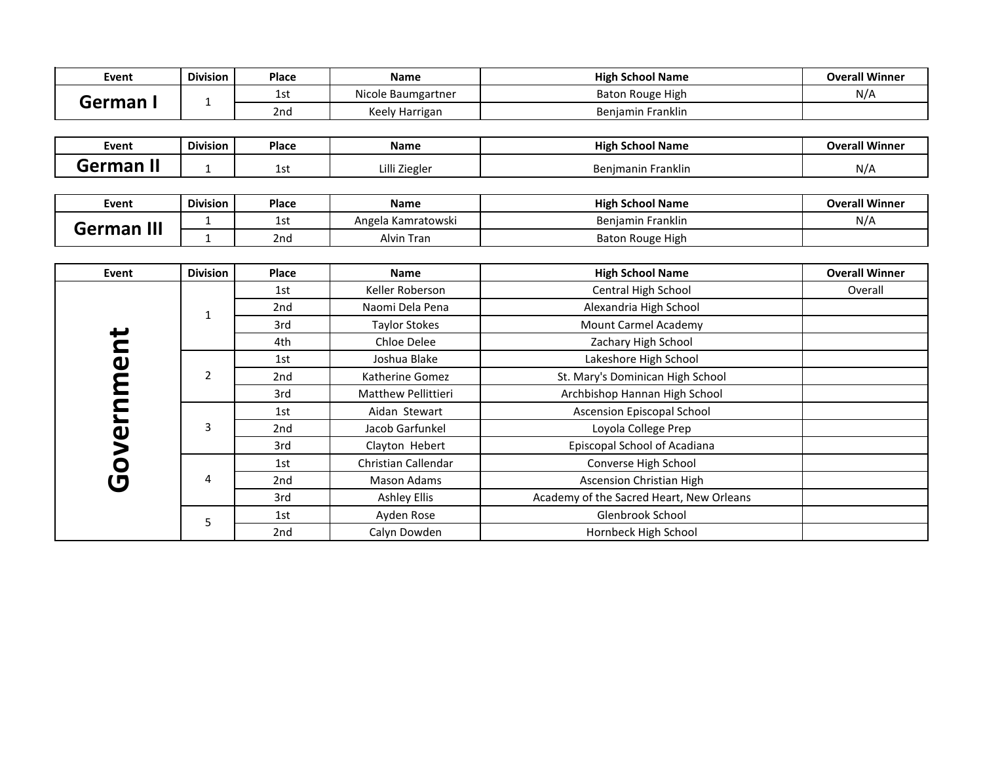| Event                        | <b>Division</b> | <b>Place</b> | Name                     | <b>High School Name</b> | <b>Overall Winner</b> |
|------------------------------|-----------------|--------------|--------------------------|-------------------------|-----------------------|
| $ \sim$ $\sim$ $\sim$ $\sim$ |                 | 1s1          | Nicole Baumgartner       | Baton Rouge High        | N/A                   |
|                              |                 | 2nd          | Keely<br><b>Harrigan</b> | <br>Benjamin Franklin   |                       |

| Event | ---<br><b>Division</b> | <b>Place</b> | Name         | .<br>⊦School Name<br>High | <b>Overall Winner</b> |
|-------|------------------------|--------------|--------------|---------------------------|-----------------------|
| M     |                        | ، ب د        | illi Ziegler | Benjmanin Franklin        | N/A                   |

| Event                   | Division | <b>Place</b> | <b>Name</b>        | <b>High School Name</b> | <b>Overall Winner</b> |
|-------------------------|----------|--------------|--------------------|-------------------------|-----------------------|
| $\mathbf{  }$<br>uprmar |          | ا - ۱<br>ᅩJ  | Angela Kamratowski | Benjamin Franklin       | N/A                   |
|                         |          | 2nd          | Alvin Tran         | Baton Rouge High        |                       |

| Event                 | <b>Division</b> | Place           | <b>Name</b>                | <b>High School Name</b>                  | <b>Overall Winner</b> |
|-----------------------|-----------------|-----------------|----------------------------|------------------------------------------|-----------------------|
|                       |                 | 1st             | Keller Roberson            | Central High School                      | Overall               |
|                       | $\mathbf 1$     | 2nd             | Naomi Dela Pena            | Alexandria High School                   |                       |
| پ                     |                 | 3rd             | <b>Taylor Stokes</b>       | Mount Carmel Academy                     |                       |
| 2                     |                 | 4th             | Chloe Delee                | Zachary High School                      |                       |
| $\mathbf 0$           |                 | 1st             | Joshua Blake               | Lakeshore High School                    |                       |
| Ε                     | $\overline{2}$  | 2 <sub>nd</sub> | Katherine Gomez            | St. Mary's Dominican High School         |                       |
|                       |                 | 3rd             | <b>Matthew Pellittieri</b> | Archbishop Hannan High School            |                       |
|                       | 3               | 1st             | Aidan Stewart              | Ascension Episcopal School               |                       |
| $\boldsymbol{\omega}$ |                 | 2 <sub>nd</sub> | Jacob Garfunkel            | Loyola College Prep                      |                       |
|                       |                 | 3rd             | Clayton Hebert             | Episcopal School of Acadiana             |                       |
| $\mathsf{S}$          |                 | 1st             | Christian Callendar        | Converse High School                     |                       |
| $\blacksquare$        | 4               | 2 <sub>nd</sub> | Mason Adams                | <b>Ascension Christian High</b>          |                       |
|                       |                 | 3rd             | Ashley Ellis               | Academy of the Sacred Heart, New Orleans |                       |
|                       |                 | 1st             | Ayden Rose                 | Glenbrook School                         |                       |
|                       | כ               | 2nd             | Calyn Dowden               | Hornbeck High School                     |                       |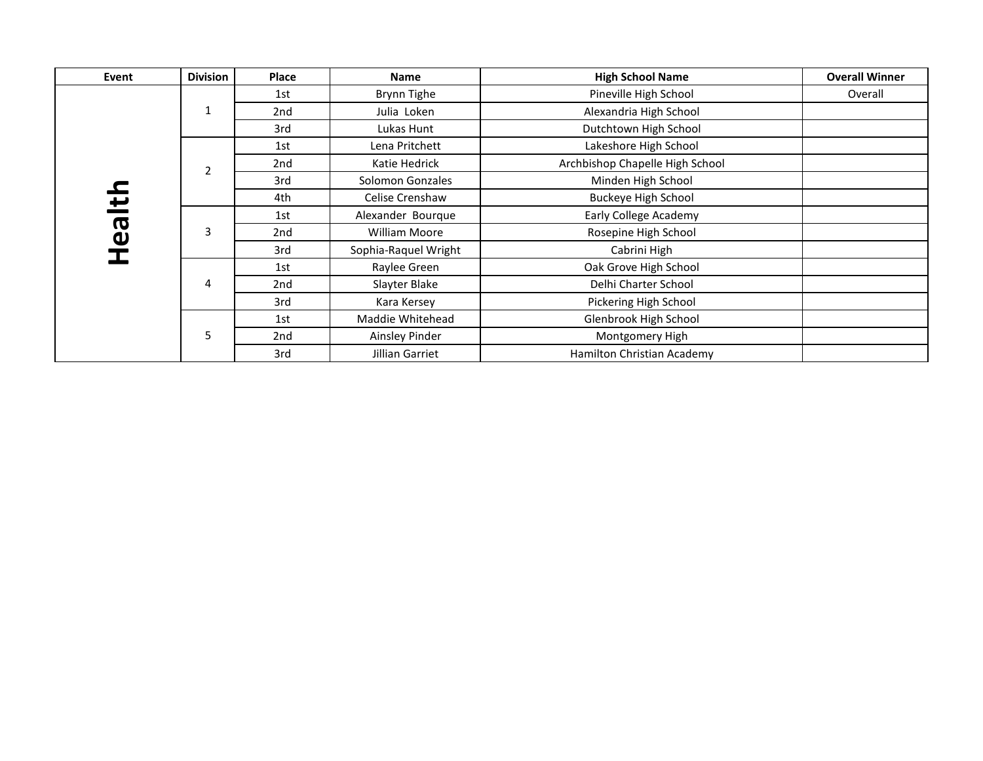| Event  | <b>Division</b> | Place           | <b>Name</b>          | <b>High School Name</b>         | <b>Overall Winner</b> |
|--------|-----------------|-----------------|----------------------|---------------------------------|-----------------------|
|        |                 | 1st             | Brynn Tighe          | Pineville High School           | Overall               |
|        | $\mathbf{1}$    | 2 <sub>nd</sub> | Julia Loken          | Alexandria High School          |                       |
|        |                 | 3rd             | Lukas Hunt           | Dutchtown High School           |                       |
|        |                 | 1st             | Lena Pritchett       | Lakeshore High School           |                       |
|        | 2               | 2nd             | Katie Hedrick        | Archbishop Chapelle High School |                       |
|        |                 | 3rd             | Solomon Gonzales     | Minden High School              |                       |
| Health |                 | 4th             | Celise Crenshaw      | <b>Buckeye High School</b>      |                       |
|        |                 | 1st             | Alexander Bourque    | Early College Academy           |                       |
|        | 3               | 2nd             | <b>William Moore</b> | Rosepine High School            |                       |
|        |                 | 3rd             | Sophia-Raquel Wright | Cabrini High                    |                       |
|        |                 | 1st             | Raylee Green         | Oak Grove High School           |                       |
|        | 4               | 2nd             | Slayter Blake        | Delhi Charter School            |                       |
|        |                 | 3rd             | Kara Kersey          | Pickering High School           |                       |
|        |                 | 1st             | Maddie Whitehead     | Glenbrook High School           |                       |
|        | 5               | 2nd             | Ainsley Pinder       | Montgomery High                 |                       |
|        |                 | 3rd             | Jillian Garriet      | Hamilton Christian Academy      |                       |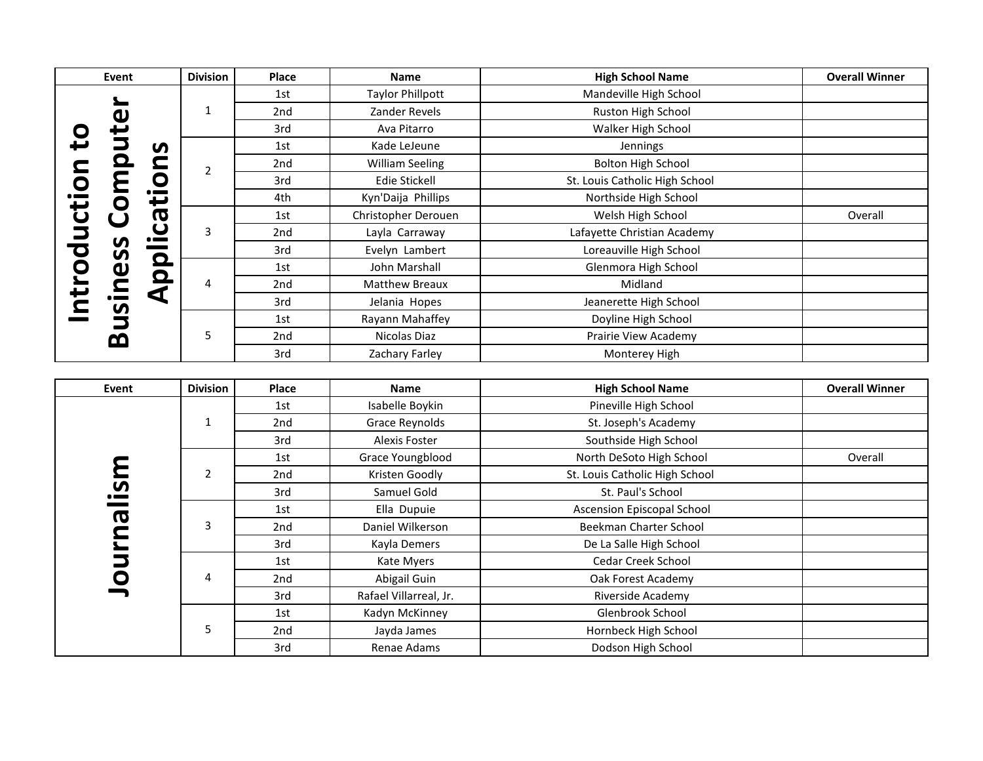|                   | Event                                                    | <b>Division</b> | Place | <b>Name</b>             | <b>High School Name</b>        | <b>Overall Winner</b> |
|-------------------|----------------------------------------------------------|-----------------|-------|-------------------------|--------------------------------|-----------------------|
|                   |                                                          |                 | 1st   | <b>Taylor Phillpott</b> | Mandeville High School         |                       |
|                   | $\boldsymbol{\omega}$                                    | 1               | 2nd   | Zander Revels           | Ruston High School             |                       |
|                   |                                                          |                 | 3rd   | Ava Pitarro             | Walker High School             |                       |
|                   | S                                                        |                 | 1st   | Kade LeJeune            | Jennings                       |                       |
|                   | Ω                                                        | 2               | 2nd   | William Seeling         | <b>Bolton High School</b>      |                       |
| $\mathbf{\Omega}$ | Q                                                        |                 | 3rd   | Edie Stickell           | St. Louis Catholic High School |                       |
|                   | $\bullet$ and $\bullet$<br>$\overline{\phantom{a}}$<br>O |                 | 4th   | Kyn'Daija Phillips      | Northside High School          |                       |
| <u> ፲</u>         | ത                                                        | 3               | 1st   | Christopher Derouen     | Welsh High School              | Overall               |
| コ                 | $\bullet$                                                |                 | 2nd   | Layla Carraway          | Lafayette Christian Academy    |                       |
| Ō                 | <b>S</b>                                                 |                 | 3rd   | Evelyn Lambert          | Loreauville High School        |                       |
| С                 | $\mathbf{\Omega}$                                        | 4               | 1st   | John Marshall           | Glenmora High School           |                       |
|                   | Ω                                                        |                 | 2nd   | <b>Matthew Breaux</b>   | Midland                        |                       |
|                   | sines<br>a<br>മ്മ                                        |                 | 3rd   | Jelania Hopes           | Jeanerette High School         |                       |
|                   |                                                          |                 | 1st   | Rayann Mahaffey         | Doyline High School            |                       |
|                   |                                                          | 5               | 2nd   | Nicolas Diaz            | Prairie View Academy           |                       |
|                   |                                                          |                 | 3rd   | Zachary Farley          | Monterey High                  |                       |

| Event    | <b>Division</b> | Place | <b>Name</b>            | <b>High School Name</b>        | <b>Overall Winner</b> |
|----------|-----------------|-------|------------------------|--------------------------------|-----------------------|
|          |                 | 1st   | Isabelle Boykin        | Pineville High School          |                       |
|          | 1               | 2nd   | Grace Reynolds         | St. Joseph's Academy           |                       |
|          |                 | 3rd   | Alexis Foster          | Southside High School          |                       |
|          |                 | 1st   | Grace Youngblood       | North DeSoto High School       | Overall               |
|          | 2               | 2nd   | Kristen Goodly         | St. Louis Catholic High School |                       |
| <u>ဖ</u> |                 | 3rd   | Samuel Gold            | St. Paul's School              |                       |
| Œ        |                 | 1st   | Ella Dupuie            | Ascension Episcopal School     |                       |
|          | 3               | 2nd   | Daniel Wilkerson       | Beekman Charter School         |                       |
|          |                 | 3rd   | Kayla Demers           | De La Salle High School        |                       |
| コ        |                 | 1st   | Kate Myers             | Cedar Creek School             |                       |
| O        | 4               | 2nd   | Abigail Guin           | Oak Forest Academy             |                       |
|          |                 | 3rd   | Rafael Villarreal, Jr. | Riverside Academy              |                       |
|          | 5               | 1st   | Kadyn McKinney         | Glenbrook School               |                       |
|          |                 | 2nd   | Jayda James            | Hornbeck High School           |                       |
|          |                 | 3rd   | Renae Adams            | Dodson High School             |                       |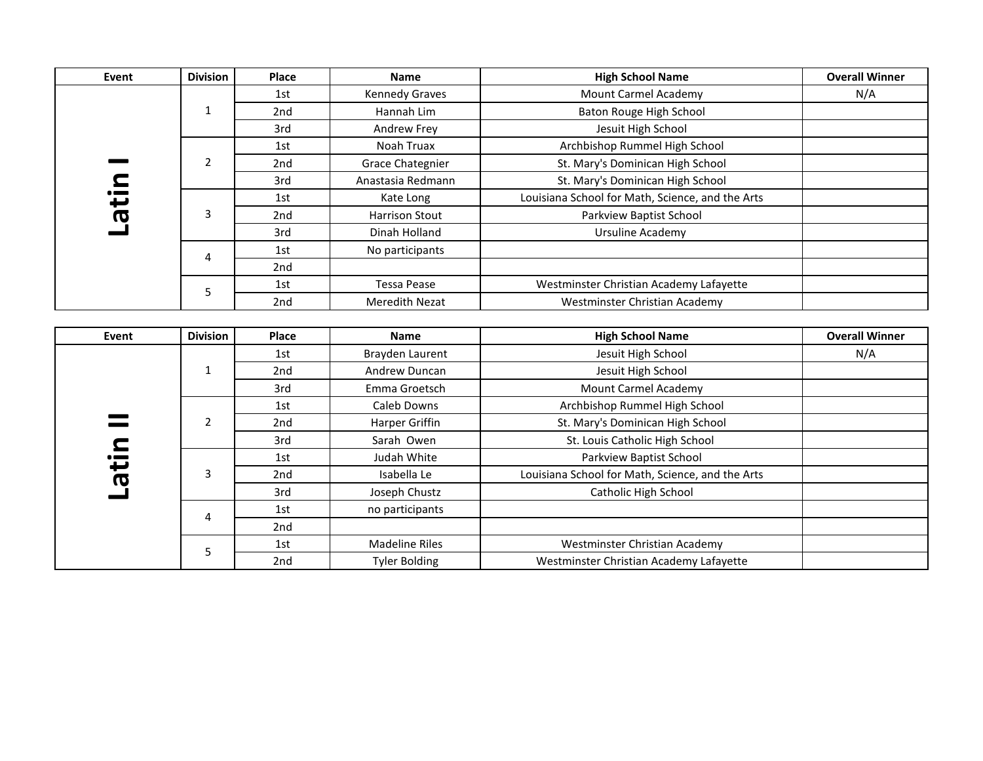| <b>Event</b> | <b>Division</b> | Place           | <b>Name</b>           | <b>High School Name</b>                          | <b>Overall Winner</b> |
|--------------|-----------------|-----------------|-----------------------|--------------------------------------------------|-----------------------|
|              |                 | 1st             | <b>Kennedy Graves</b> | <b>Mount Carmel Academy</b>                      | N/A                   |
|              | 1               | 2nd             | Hannah Lim            | Baton Rouge High School                          |                       |
|              |                 | 3rd             | Andrew Frey           | Jesuit High School                               |                       |
|              |                 | 1st             | Noah Truax            | Archbishop Rummel High School                    |                       |
|              | $\overline{2}$  | 2nd             | Grace Chategnier      | St. Mary's Dominican High School                 |                       |
|              |                 | 3rd             | Anastasia Redmann     | St. Mary's Dominican High School                 |                       |
| nita-        |                 | 1st             | Kate Long             | Louisiana School for Math, Science, and the Arts |                       |
|              | 3               | 2nd             | <b>Harrison Stout</b> | Parkview Baptist School                          |                       |
|              |                 | 3rd             | Dinah Holland         | <b>Ursuline Academy</b>                          |                       |
|              | 4               | 1st             | No participants       |                                                  |                       |
|              |                 | 2nd             |                       |                                                  |                       |
|              |                 | 1st             | <b>Tessa Pease</b>    | Westminster Christian Academy Lafayette          |                       |
|              | 5               | 2 <sub>nd</sub> | <b>Meredith Nezat</b> | Westminster Christian Academy                    |                       |
|              |                 |                 |                       |                                                  |                       |
| Event        | <b>Division</b> | Place           | <b>Name</b>           | <b>High School Name</b>                          | <b>Overall Winner</b> |
|              |                 | 1st             | Brayden Laurent       | Jesuit High School                               | N/A                   |
|              | 1               | 2nd             | Andrew Duncan         | Jesuit High School                               |                       |
|              |                 | 3rd             | Emma Groetsch         | Mount Carmel Academy                             |                       |
|              |                 | 1st             | Caleb Downs           | Archbishop Rummel High School                    |                       |
|              | $\overline{2}$  | 2nd             | Harper Griffin        | St. Mary's Dominican High School                 |                       |
|              |                 | 3rd             | Sarah Owen            | St. Louis Catholic High School                   |                       |
| Latin        |                 | 1st             | Judah White           | Parkview Baptist School                          |                       |
|              | 3               | 2nd             | Isabella Le           | Louisiana School for Math, Science, and the Arts |                       |
|              |                 |                 |                       |                                                  |                       |
|              |                 | 3rd             | Joseph Chustz         | Catholic High School                             |                       |
|              |                 | 1st             | no participants       |                                                  |                       |
|              | 4               | 2nd             |                       |                                                  |                       |
|              | 5               | 1st             | <b>Madeline Riles</b> | Westminster Christian Academy                    |                       |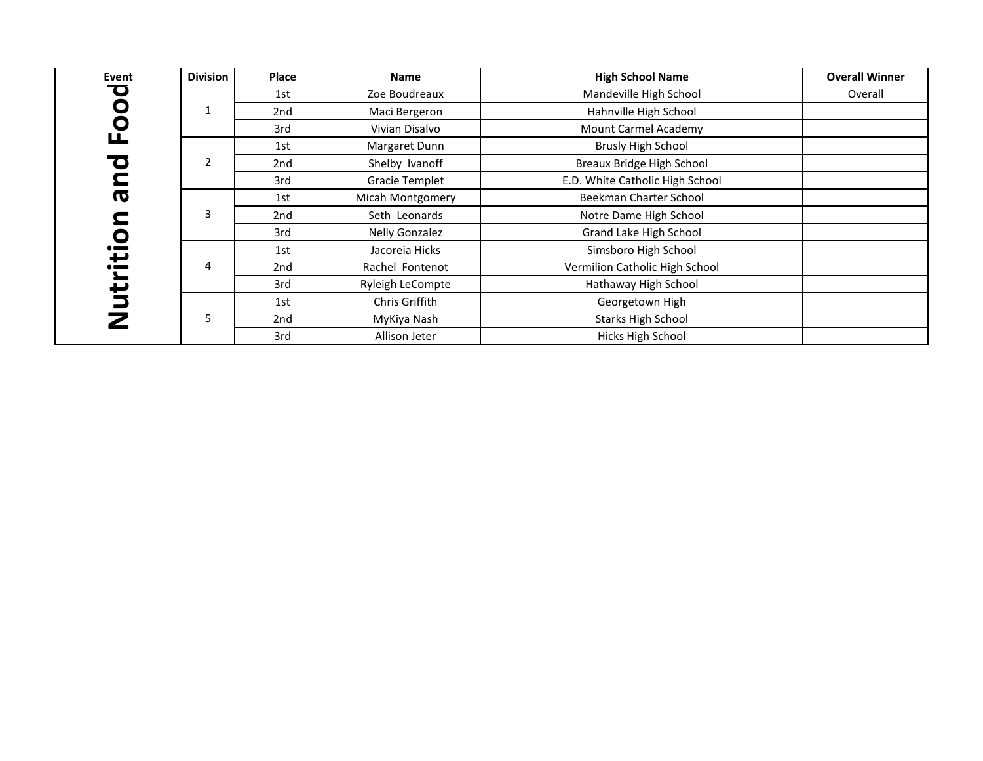| Event      | <b>Division</b> | Place | <b>Name</b>           | <b>High School Name</b>         | <b>Overall Winner</b> |
|------------|-----------------|-------|-----------------------|---------------------------------|-----------------------|
| $\bullet$  |                 | 1st   | Zoe Boudreaux         | Mandeville High School          | Overall               |
| 0<br>0     | 1               | 2nd   | Maci Bergeron         | Hahnville High School           |                       |
|            |                 | 3rd   | Vivian Disalvo        | <b>Mount Carmel Academy</b>     |                       |
| ட          |                 | 1st   | Margaret Dunn         | <b>Brusly High School</b>       |                       |
| O          | $\overline{2}$  | 2nd   | Shelby Ivanoff        | Breaux Bridge High School       |                       |
| <b>ule</b> |                 | 3rd   | <b>Gracie Templet</b> | E.D. White Catholic High School |                       |
|            |                 | 1st   | Micah Montgomery      | Beekman Charter School          |                       |
|            | 3               | 2nd   | Seth Leonards         | Notre Dame High School          |                       |
|            |                 | 3rd   | <b>Nelly Gonzalez</b> | Grand Lake High School          |                       |
| ició       |                 | 1st   | Jacoreia Hicks        | Simsboro High School            |                       |
|            | 4               | 2nd   | Rachel Fontenot       | Vermilion Catholic High School  |                       |
| ے          |                 | 3rd   | Ryleigh LeCompte      | Hathaway High School            |                       |
| ちこ         |                 | 1st   | Chris Griffith        | Georgetown High                 |                       |
|            | 5               | 2nd   | MyKiya Nash           | <b>Starks High School</b>       |                       |
|            |                 | 3rd   | Allison Jeter         | Hicks High School               |                       |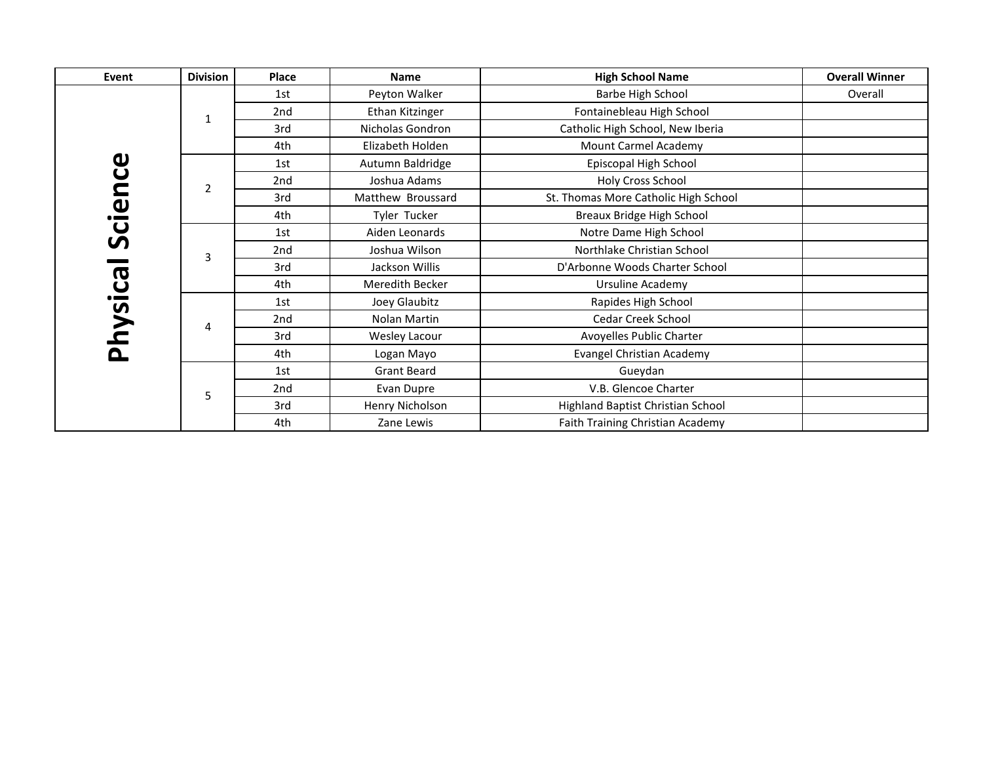| Event                 | <b>Division</b> | Place           | <b>Name</b>        | <b>High School Name</b>              | <b>Overall Winner</b> |
|-----------------------|-----------------|-----------------|--------------------|--------------------------------------|-----------------------|
|                       |                 | 1st             | Peyton Walker      | Barbe High School                    | Overall               |
|                       | 1               | 2nd             | Ethan Kitzinger    | Fontainebleau High School            |                       |
|                       |                 | 3rd             | Nicholas Gondron   | Catholic High School, New Iberia     |                       |
|                       |                 | 4th             | Elizabeth Holden   | Mount Carmel Academy                 |                       |
| $\boldsymbol{\omega}$ |                 | 1st             | Autumn Baldridge   | Episcopal High School                |                       |
|                       | $\overline{2}$  | 2nd             | Joshua Adams       | Holy Cross School                    |                       |
| Scienc                |                 | 3rd             | Matthew Broussard  | St. Thomas More Catholic High School |                       |
|                       |                 | 4th             | Tyler Tucker       | Breaux Bridge High School            |                       |
|                       |                 | 1st             | Aiden Leonards     | Notre Dame High School               |                       |
|                       | 3               | 2nd             | Joshua Wilson      | Northlake Christian School           |                       |
|                       |                 | 3rd             | Jackson Willis     | D'Arbonne Woods Charter School       |                       |
| Physica               |                 | 4th             | Meredith Becker    | Ursuline Academy                     |                       |
|                       |                 | 1st             | Joey Glaubitz      | Rapides High School                  |                       |
|                       | 4               | 2 <sub>nd</sub> | Nolan Martin       | <b>Cedar Creek School</b>            |                       |
|                       |                 | 3rd             | Wesley Lacour      | Avoyelles Public Charter             |                       |
|                       |                 | 4th             | Logan Mayo         | Evangel Christian Academy            |                       |
|                       |                 | 1st             | <b>Grant Beard</b> | Gueydan                              |                       |
|                       | 5               | 2nd             | Evan Dupre         | V.B. Glencoe Charter                 |                       |
|                       |                 | 3rd             | Henry Nicholson    | Highland Baptist Christian School    |                       |
|                       |                 | 4th             | Zane Lewis         | Faith Training Christian Academy     |                       |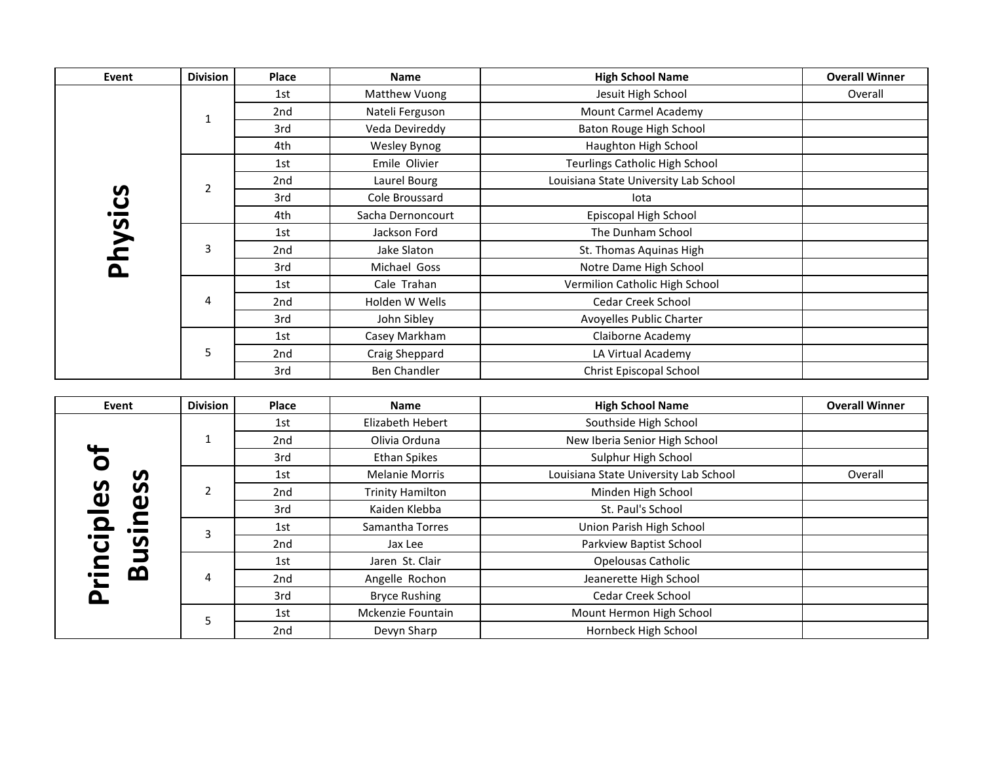| Event   | <b>Division</b> | Place           | <b>Name</b>       | <b>High School Name</b>               | <b>Overall Winner</b> |
|---------|-----------------|-----------------|-------------------|---------------------------------------|-----------------------|
|         |                 | 1st             | Matthew Vuong     | Jesuit High School                    | Overall               |
|         | 1               | 2nd             | Nateli Ferguson   | Mount Carmel Academy                  |                       |
|         |                 | 3rd             | Veda Devireddy    | Baton Rouge High School               |                       |
|         |                 | 4th             | Wesley Bynog      | Haughton High School                  |                       |
|         |                 | 1st             | Emile Olivier     | <b>Teurlings Catholic High School</b> |                       |
|         | $\overline{2}$  | 2nd             | Laurel Bourg      | Louisiana State University Lab School |                       |
| Physics |                 | 3rd             | Cole Broussard    | lota                                  |                       |
|         |                 | 4th             | Sacha Dernoncourt | Episcopal High School                 |                       |
|         |                 | 1st             | Jackson Ford      | The Dunham School                     |                       |
|         | 3               | 2nd             | Jake Slaton       | St. Thomas Aquinas High               |                       |
|         |                 | 3rd             | Michael Goss      | Notre Dame High School                |                       |
|         |                 | 1st             | Cale Trahan       | Vermilion Catholic High School        |                       |
|         | 4               | 2 <sub>nd</sub> | Holden W Wells    | Cedar Creek School                    |                       |
|         |                 | 3rd             | John Sibley       | Avoyelles Public Charter              |                       |
|         |                 | 1st             | Casey Markham     | Claiborne Academy                     |                       |
|         | 5               | 2 <sub>nd</sub> | Craig Sheppard    | LA Virtual Academy                    |                       |
|         |                 | 3rd             | Ben Chandler      | Christ Episcopal School               |                       |

| Event                                                                                                      | <b>Division</b> | Place | <b>Name</b>             | <b>High School Name</b>               | <b>Overall Winner</b> |
|------------------------------------------------------------------------------------------------------------|-----------------|-------|-------------------------|---------------------------------------|-----------------------|
|                                                                                                            |                 | 1st   | Elizabeth Hebert        | Southside High School                 |                       |
|                                                                                                            |                 | 2nd   | Olivia Orduna           | New Iberia Senior High School         |                       |
| $\overline{\mathbf{c}}$                                                                                    |                 | 3rd   | <b>Ethan Spikes</b>     | Sulphur High School                   |                       |
| S                                                                                                          |                 | 1st   | <b>Melanie Morris</b>   | Louisiana State University Lab School | Overall               |
| 5<br>S                                                                                                     | $\overline{2}$  | 2nd   | <b>Trinity Hamilton</b> | Minden High School                    |                       |
| $\overline{\mathbf{v}}$<br>ω<br>$\blacksquare$<br><u>َم</u><br>S<br>$\tilde{\mathbf{C}}$<br>മ<br>$\bullet$ |                 | 3rd   | Kaiden Klebba           | St. Paul's School                     |                       |
|                                                                                                            | з               | 1st   | Samantha Torres         | Union Parish High School              |                       |
|                                                                                                            |                 | 2nd   | Jax Lee                 | Parkview Baptist School               |                       |
|                                                                                                            | 4               | 1st   | Jaren St. Clair         | Opelousas Catholic                    |                       |
|                                                                                                            |                 | 2nd   | Angelle Rochon          | Jeanerette High School                |                       |
|                                                                                                            |                 | 3rd   | <b>Bryce Rushing</b>    | Cedar Creek School                    |                       |
|                                                                                                            | 5               | 1st   | Mckenzie Fountain       | Mount Hermon High School              |                       |
|                                                                                                            |                 | 2nd   | Devyn Sharp             | Hornbeck High School                  |                       |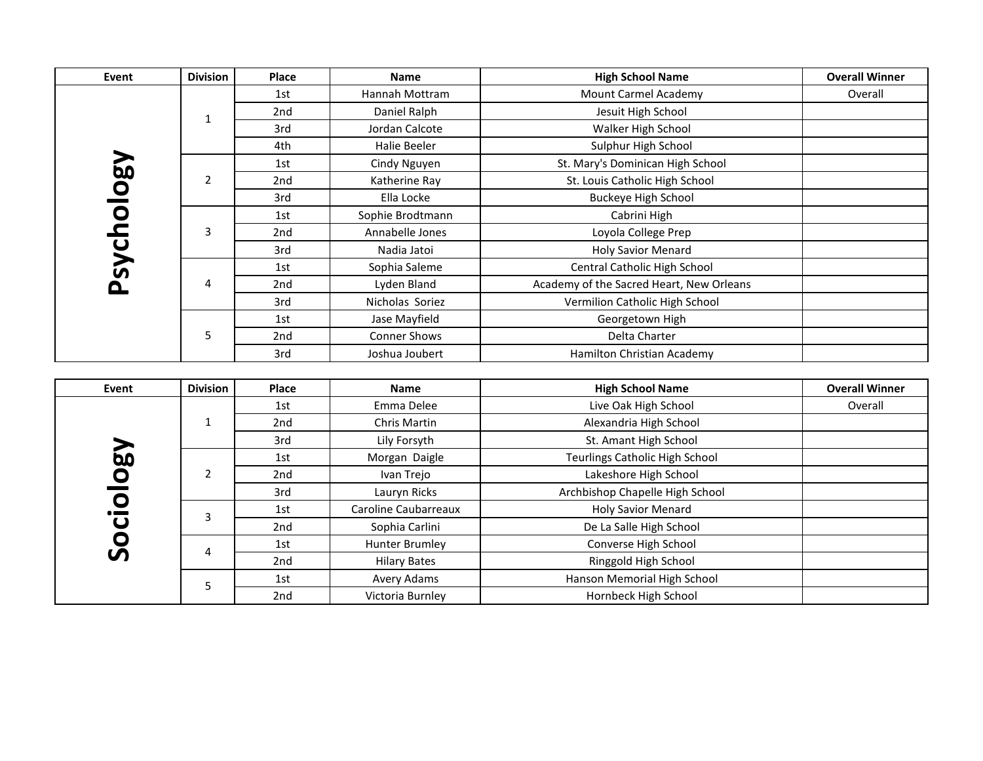| Event       | <b>Division</b> | Place | <b>Name</b>      | <b>High School Name</b>                  | <b>Overall Winner</b> |
|-------------|-----------------|-------|------------------|------------------------------------------|-----------------------|
|             |                 | 1st   | Hannah Mottram   | Mount Carmel Academy                     | Overall               |
|             | 1               | 2nd   | Daniel Ralph     | Jesuit High School                       |                       |
|             |                 | 3rd   | Jordan Calcote   | Walker High School                       |                       |
|             |                 | 4th   | Halie Beeler     | Sulphur High School                      |                       |
|             |                 | 1st   | Cindy Nguyen     | St. Mary's Dominican High School         |                       |
|             | $\overline{2}$  | 2nd   | Katherine Ray    | St. Louis Catholic High School           |                       |
|             |                 | 3rd   | Ella Locke       | <b>Buckeye High School</b>               |                       |
| Vaolou      |                 | 1st   | Sophie Brodtmann | Cabrini High                             |                       |
|             | 3               | 2nd   | Annabelle Jones  | Loyola College Prep                      |                       |
| <b>Sycl</b> |                 | 3rd   | Nadia Jatoi      | <b>Holy Savior Menard</b>                |                       |
|             |                 | 1st   | Sophia Saleme    | Central Catholic High School             |                       |
| O.          | 4               | 2nd   | Lyden Bland      | Academy of the Sacred Heart, New Orleans |                       |
|             |                 | 3rd   | Nicholas Soriez  | Vermilion Catholic High School           |                       |
|             |                 | 1st   | Jase Mayfield    | Georgetown High                          |                       |
|             | 5               | 2nd   | Conner Shows     | Delta Charter                            |                       |
|             |                 | 3rd   | Joshua Joubert   | Hamilton Christian Academy               |                       |

| Event              | <b>Division</b> | Place | <b>Name</b>          | <b>High School Name</b>               | <b>Overall Winner</b> |
|--------------------|-----------------|-------|----------------------|---------------------------------------|-----------------------|
|                    |                 | 1st   | Emma Delee           | Live Oak High School                  | Overall               |
|                    |                 | 2nd   | Chris Martin         | Alexandria High School                |                       |
|                    |                 | 3rd   | Lily Forsyth         | St. Amant High School                 |                       |
| <u> 양</u>          |                 | 1st   | Morgan Daigle        | <b>Teurlings Catholic High School</b> |                       |
| O<br>O<br><b>S</b> |                 | 2nd   | Ivan Trejo           | Lakeshore High School                 |                       |
|                    |                 | 3rd   | Lauryn Ricks         | Archbishop Chapelle High School       |                       |
|                    | 3               | 1st   | Caroline Caubarreaux | <b>Holy Savior Menard</b>             |                       |
|                    |                 | 2nd   | Sophia Carlini       | De La Salle High School               |                       |
|                    | 4               | 1st   | Hunter Brumley       | Converse High School                  |                       |
|                    |                 | 2nd   | <b>Hilary Bates</b>  | Ringgold High School                  |                       |
|                    |                 | 1st   | Avery Adams          | Hanson Memorial High School           |                       |
|                    |                 | 2nd   | Victoria Burnley     | Hornbeck High School                  |                       |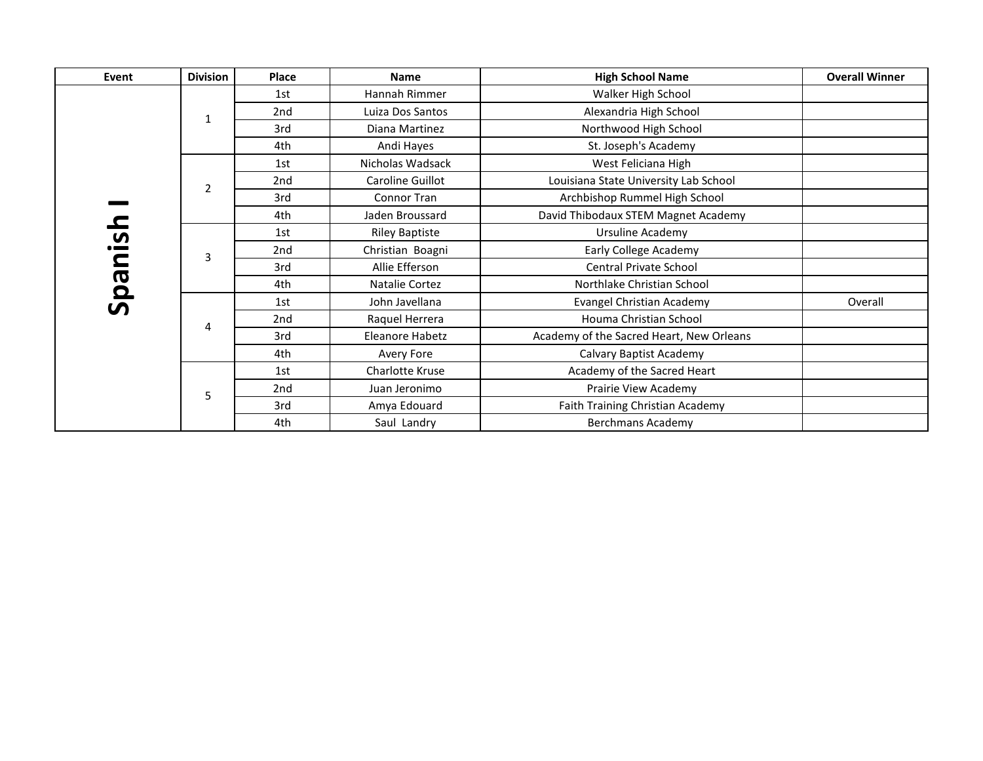| Event        | <b>Division</b> | Place           | <b>Name</b>           | <b>High School Name</b>                  | <b>Overall Winner</b> |
|--------------|-----------------|-----------------|-----------------------|------------------------------------------|-----------------------|
|              |                 | 1st             | Hannah Rimmer         | Walker High School                       |                       |
|              | 1               | 2nd             | Luiza Dos Santos      | Alexandria High School                   |                       |
|              |                 | 3rd             | Diana Martinez        | Northwood High School                    |                       |
|              |                 | 4th             | Andi Hayes            | St. Joseph's Academy                     |                       |
|              |                 | 1st             | Nicholas Wadsack      | West Feliciana High                      |                       |
|              | $\overline{2}$  | 2 <sub>nd</sub> | Caroline Guillot      | Louisiana State University Lab School    |                       |
|              |                 | 3rd             | Connor Tran           | Archbishop Rummel High School            |                       |
|              |                 | 4th             | Jaden Broussard       | David Thibodaux STEM Magnet Academy      |                       |
| usi.         |                 | 1st             | <b>Riley Baptiste</b> | Ursuline Academy                         |                       |
|              | 3               | 2 <sub>nd</sub> | Christian Boagni      | Early College Academy                    |                       |
|              |                 | 3rd             | Allie Efferson        | <b>Central Private School</b>            |                       |
|              |                 | 4th             | Natalie Cortez        | Northlake Christian School               |                       |
| <b>Iueds</b> |                 | 1st             | John Javellana        | Evangel Christian Academy                | Overall               |
|              | 4               | 2 <sub>nd</sub> | Raquel Herrera        | Houma Christian School                   |                       |
|              |                 | 3rd             | Eleanore Habetz       | Academy of the Sacred Heart, New Orleans |                       |
|              |                 | 4th             | Avery Fore            | Calvary Baptist Academy                  |                       |
|              |                 | 1st             | Charlotte Kruse       | Academy of the Sacred Heart              |                       |
|              | 5               | 2nd             | Juan Jeronimo         | Prairie View Academy                     |                       |
|              |                 | 3rd             | Amya Edouard          | Faith Training Christian Academy         |                       |
|              |                 | 4th             | Saul Landry           | <b>Berchmans Academy</b>                 |                       |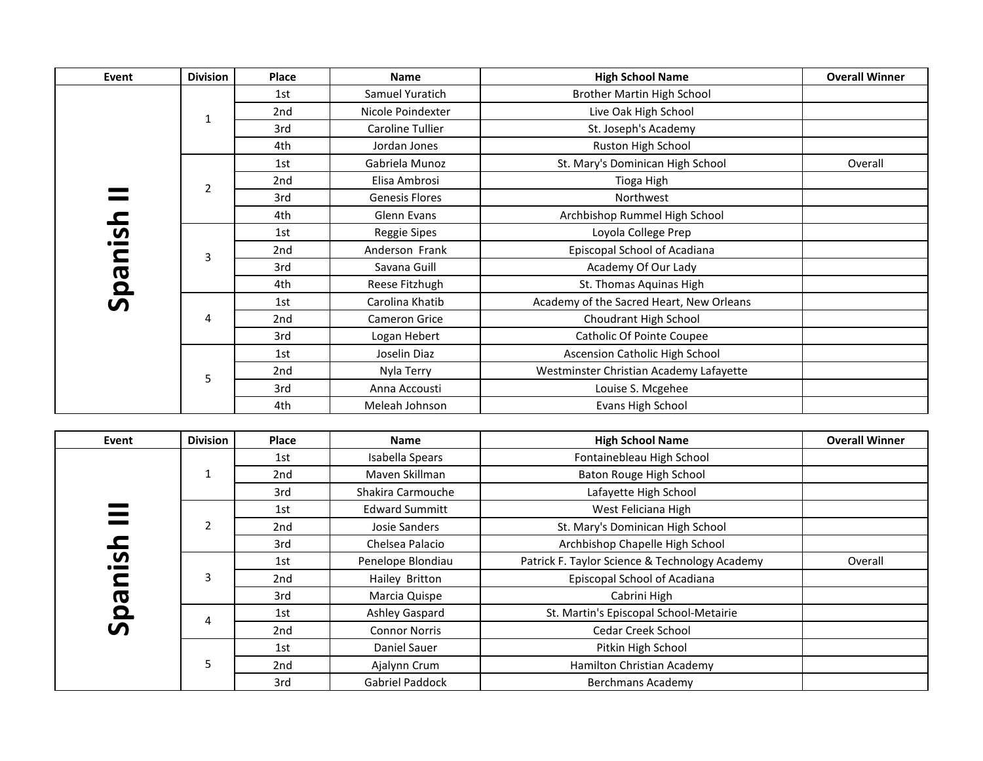| Event                   | <b>Division</b> | Place           | <b>Name</b>           | <b>High School Name</b>                  | <b>Overall Winner</b> |
|-------------------------|-----------------|-----------------|-----------------------|------------------------------------------|-----------------------|
|                         |                 | 1st             | Samuel Yuratich       | Brother Martin High School               |                       |
|                         | $\mathbf{1}$    | 2 <sub>nd</sub> | Nicole Poindexter     | Live Oak High School                     |                       |
|                         |                 | 3rd             | Caroline Tullier      | St. Joseph's Academy                     |                       |
|                         |                 | 4th             | Jordan Jones          | Ruston High School                       |                       |
|                         |                 | 1st             | Gabriela Munoz        | St. Mary's Dominican High School         | Overall               |
|                         | $\overline{2}$  | 2nd             | Elisa Ambrosi         | Tioga High                               |                       |
|                         |                 | 3rd             | <b>Genesis Flores</b> | Northwest                                |                       |
|                         |                 | 4th             | Glenn Evans           | Archbishop Rummel High School            |                       |
| usi.                    |                 | 1st             | Reggie Sipes          | Loyola College Prep                      |                       |
| $\overline{\mathbf{C}}$ | $\overline{3}$  | 2nd             | Anderson Frank        | Episcopal School of Acadiana             |                       |
|                         |                 | 3rd             | Savana Guill          | Academy Of Our Lady                      |                       |
| <b>sqs</b>              |                 | 4th             | Reese Fitzhugh        | St. Thomas Aquinas High                  |                       |
|                         |                 | 1st             | Carolina Khatib       | Academy of the Sacred Heart, New Orleans |                       |
|                         | 4               | 2nd             | Cameron Grice         | Choudrant High School                    |                       |
|                         |                 | 3rd             | Logan Hebert          | <b>Catholic Of Pointe Coupee</b>         |                       |
|                         |                 | 1st             | Joselin Diaz          | Ascension Catholic High School           |                       |
|                         | 5               | 2nd             | Nyla Terry            | Westminster Christian Academy Lafayette  |                       |
|                         |                 | 3rd             | Anna Accousti         | Louise S. Mcgehee                        |                       |
|                         |                 | 4th             | Meleah Johnson        | Evans High School                        |                       |

| Event                        | <b>Division</b> | <b>Place</b>    | <b>Name</b>           | <b>High School Name</b>                        | <b>Overall Winner</b> |
|------------------------------|-----------------|-----------------|-----------------------|------------------------------------------------|-----------------------|
|                              |                 | 1st             | Isabella Spears       | Fontainebleau High School                      |                       |
|                              |                 | 2 <sub>nd</sub> | Mayen Skillman        | Baton Rouge High School                        |                       |
|                              |                 | 3rd             | Shakira Carmouche     | Lafayette High School                          |                       |
|                              |                 | 1st             | <b>Edward Summitt</b> | West Feliciana High                            |                       |
|                              | $\overline{2}$  | 2nd             | Josie Sanders         | St. Mary's Dominican High School               |                       |
|                              |                 | 3rd             | Chelsea Palacio       | Archbishop Chapelle High School                |                       |
| <u>ှိ</u>                    |                 | 1st             | Penelope Blondiau     | Patrick F. Taylor Science & Technology Academy | Overall               |
|                              | 3               | 2nd             | Hailey Britton        | Episcopal School of Acadiana                   |                       |
| Œ                            |                 | 3rd             | Marcia Quispe         | Cabrini High                                   |                       |
| $\overline{\mathbf{Q}}$<br>ທ | 4               | 1st             | Ashley Gaspard        | St. Martin's Episcopal School-Metairie         |                       |
|                              |                 | 2nd             | <b>Connor Norris</b>  | <b>Cedar Creek School</b>                      |                       |
|                              |                 | 1st             | Daniel Sauer          | Pitkin High School                             |                       |
|                              | 5               | 2 <sub>nd</sub> | Ajalynn Crum          | Hamilton Christian Academy                     |                       |
|                              |                 | 3rd             | Gabriel Paddock       | <b>Berchmans Academy</b>                       |                       |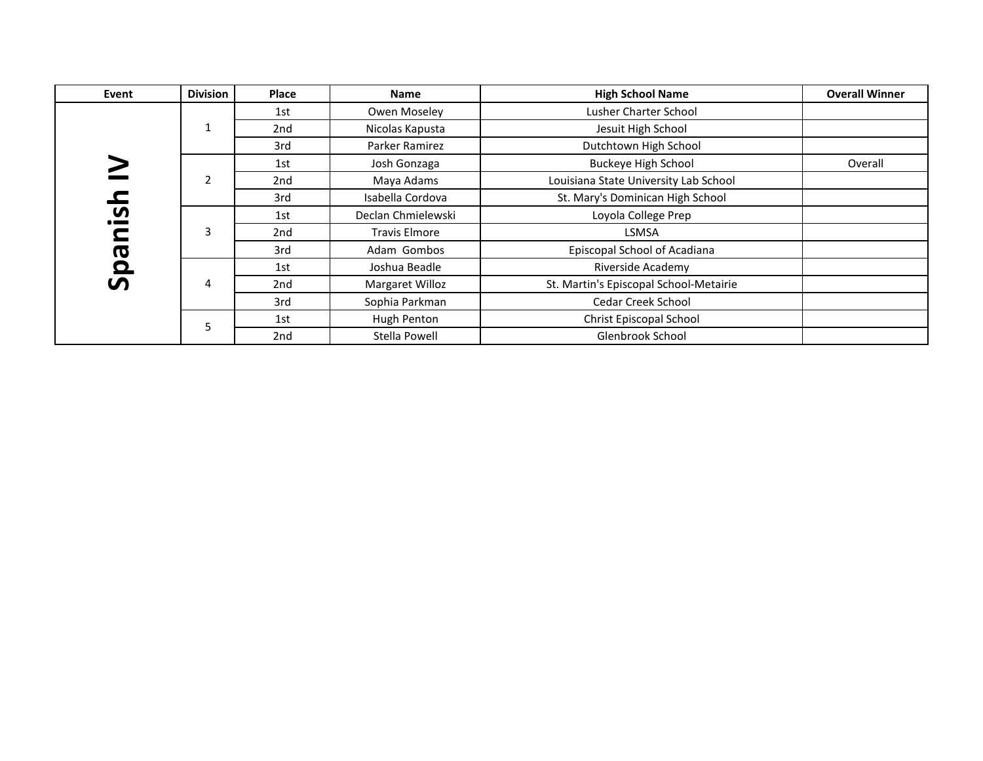| Event             | <b>Division</b> | Place | <b>Name</b>          | <b>High School Name</b>                | <b>Overall Winner</b> |
|-------------------|-----------------|-------|----------------------|----------------------------------------|-----------------------|
|                   |                 | 1st   | Owen Moseley         | Lusher Charter School                  |                       |
|                   | $\mathbf{1}$    | 2nd   | Nicolas Kapusta      | Jesuit High School                     |                       |
|                   |                 | 3rd   | Parker Ramirez       | Dutchtown High School                  |                       |
|                   |                 | 1st   | Josh Gonzaga         | <b>Buckeye High School</b>             | Overall               |
|                   | $\overline{2}$  | 2nd   | Maya Adams           | Louisiana State University Lab School  |                       |
| $\mathbf{\Omega}$ |                 | 3rd   | Isabella Cordova     | St. Mary's Dominican High School       |                       |
| <u>ပ</u>          |                 | 1st   | Declan Chmielewski   | Loyola College Prep                    |                       |
|                   | 3               | 2nd   | <b>Travis Elmore</b> | <b>LSMSA</b>                           |                       |
|                   |                 | 3rd   | Adam Gombos          | Episcopal School of Acadiana           |                       |
| Бq                |                 | 1st   | Joshua Beadle        | Riverside Academy                      |                       |
| ທ                 | 4               | 2nd   | Margaret Willoz      | St. Martin's Episcopal School-Metairie |                       |
|                   |                 | 3rd   | Sophia Parkman       | <b>Cedar Creek School</b>              |                       |
|                   | 5               | 1st   | Hugh Penton          | Christ Episcopal School                |                       |
|                   |                 | 2nd   | Stella Powell        | Glenbrook School                       |                       |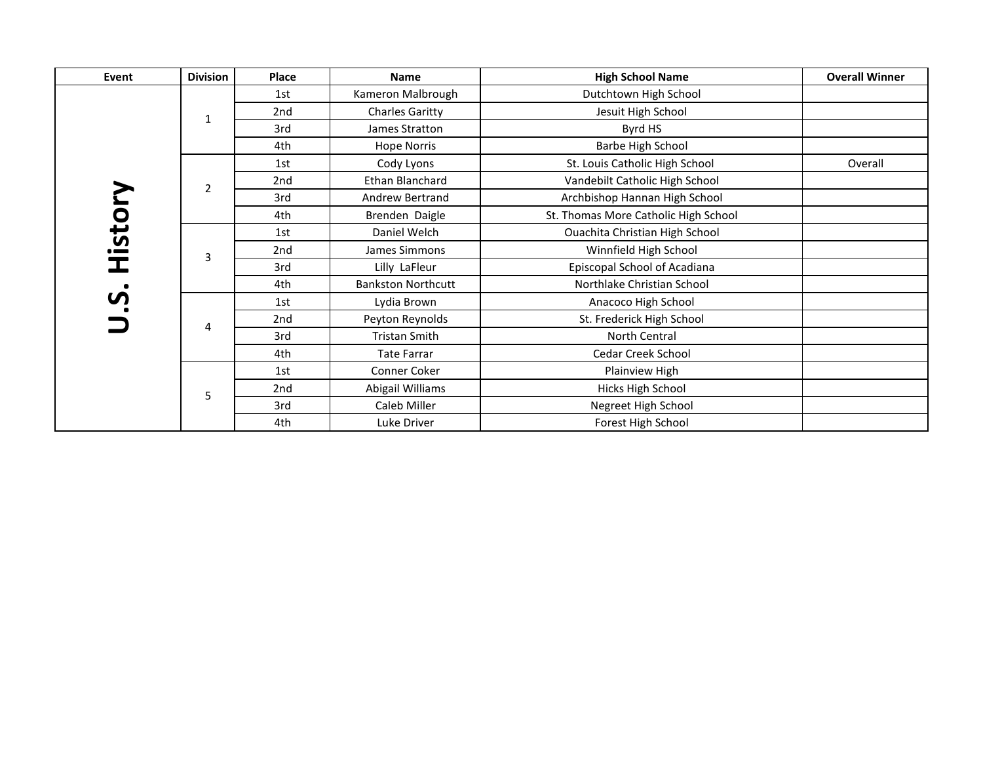| Event  | <b>Division</b> | Place           | <b>Name</b>               | <b>High School Name</b>              | <b>Overall Winner</b> |
|--------|-----------------|-----------------|---------------------------|--------------------------------------|-----------------------|
|        |                 | 1st             | Kameron Malbrough         | Dutchtown High School                |                       |
|        | 1               | 2nd             | <b>Charles Garitty</b>    | Jesuit High School                   |                       |
|        |                 | 3rd             | James Stratton            | Byrd HS                              |                       |
|        |                 | 4th             | <b>Hope Norris</b>        | Barbe High School                    |                       |
|        |                 | 1st             | Cody Lyons                | St. Louis Catholic High School       | Overall               |
|        | 2               | 2nd             | Ethan Blanchard           | Vandebilt Catholic High School       |                       |
|        |                 | 3rd             | Andrew Bertrand           | Archbishop Hannan High School        |                       |
| Histor |                 | 4th             | Brenden Daigle            | St. Thomas More Catholic High School |                       |
|        |                 | 1st             | Daniel Welch              | Ouachita Christian High School       |                       |
|        | 3               | 2nd             | James Simmons             | Winnfield High School                |                       |
|        |                 | 3rd             | Lilly LaFleur             | Episcopal School of Acadiana         |                       |
|        |                 | 4th             | <b>Bankston Northcutt</b> | Northlake Christian School           |                       |
| S      |                 | 1st             | Lydia Brown               | Anacoco High School                  |                       |
|        | 4               | 2nd             | Peyton Reynolds           | St. Frederick High School            |                       |
|        |                 | 3rd             | <b>Tristan Smith</b>      | North Central                        |                       |
|        |                 | 4th             | <b>Tate Farrar</b>        | Cedar Creek School                   |                       |
|        |                 | 1st             | Conner Coker              | Plainview High                       |                       |
|        | 5               | 2 <sub>nd</sub> | Abigail Williams          | Hicks High School                    |                       |
|        |                 | 3rd             | Caleb Miller              | Negreet High School                  |                       |
|        |                 | 4th             | Luke Driver               | Forest High School                   |                       |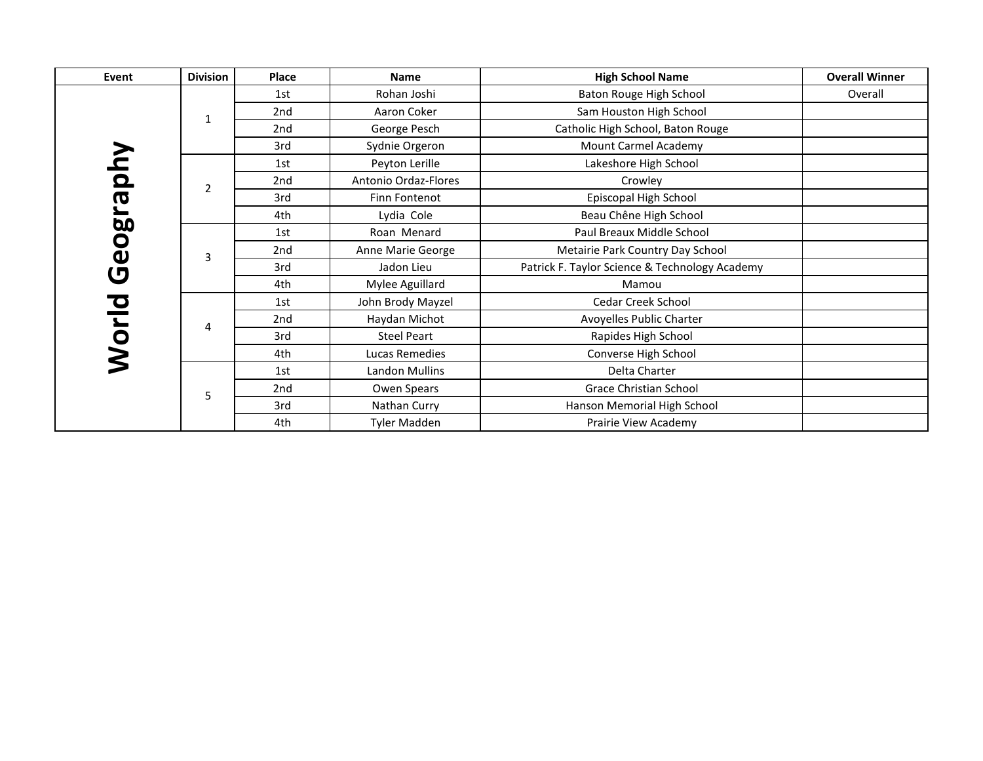| Event    | <b>Division</b> | Place           | Name                 | <b>High School Name</b>                        | <b>Overall Winner</b> |
|----------|-----------------|-----------------|----------------------|------------------------------------------------|-----------------------|
|          |                 | 1st             | Rohan Joshi          | Baton Rouge High School                        | Overall               |
|          | 1               | 2nd             | Aaron Coker          | Sam Houston High School                        |                       |
|          |                 | 2nd             | George Pesch         | Catholic High School, Baton Rouge              |                       |
|          |                 | 3rd             | Sydnie Orgeron       | Mount Carmel Academy                           |                       |
|          |                 | 1st             | Peyton Lerille       | Lakeshore High School                          |                       |
|          | $\overline{2}$  | 2nd             | Antonio Ordaz-Flores | Crowley                                        |                       |
| Geograpi |                 | 3rd             | Finn Fontenot        | Episcopal High School                          |                       |
|          |                 | 4th             | Lydia Cole           | Beau Chêne High School                         |                       |
|          |                 | 1st             | Roan Menard          | Paul Breaux Middle School                      |                       |
|          | 3               | 2nd             | Anne Marie George    | Metairie Park Country Day School               |                       |
|          |                 | 3rd             | Jadon Lieu           | Patrick F. Taylor Science & Technology Academy |                       |
|          |                 | 4th             | Mylee Aguillard      | Mamou                                          |                       |
|          |                 | 1st             | John Brody Mayzel    | <b>Cedar Creek School</b>                      |                       |
|          | 4               | 2nd             | Haydan Michot        | Avoyelles Public Charter                       |                       |
|          |                 | 3rd             | <b>Steel Peart</b>   | Rapides High School                            |                       |
| Norld    |                 | 4th             | Lucas Remedies       | Converse High School                           |                       |
|          |                 | 1st             | Landon Mullins       | Delta Charter                                  |                       |
|          | 5               | 2 <sub>nd</sub> | Owen Spears          | <b>Grace Christian School</b>                  |                       |
|          |                 | 3rd             | Nathan Curry         | Hanson Memorial High School                    |                       |
|          |                 | 4th             | <b>Tyler Madden</b>  | Prairie View Academy                           |                       |